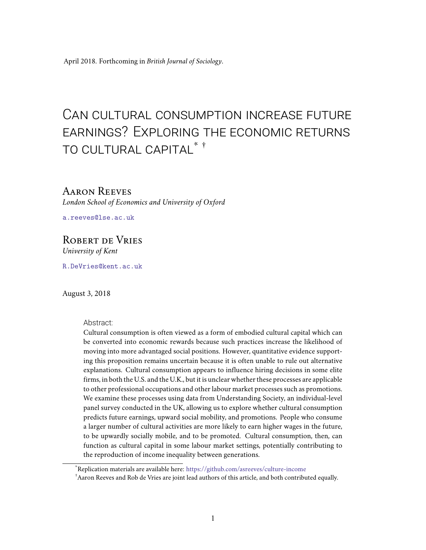# CAN CULTURAL CONSUMPTION INCREASE FUTURE EARNINGS? EXPLORING THE ECONOMIC RETURNS TO CULTURAL CAPITAL<sup>\*</sup> <sup>†</sup>

Aaron Reeves

*London School of Economics and University of Oxford*

[a.reeves@lse.ac.uk](mailto:a.reeves@lse.ac.uk)

### Robert de Vries

*University of Kent*

[R.DeVries@kent.ac.uk](mailto:R.DeVries@kent.ac.uk)

August 3, 2018

Abstract:

Cultural consumption is often viewed as a form of embodied cultural capital which can be converted into economic rewards because such practices increase the likelihood of moving into more advantaged social positions. However, quantitative evidence supporting this proposition remains uncertain because it is often unable to rule out alternative explanations. Cultural consumption appears to influence hiring decisions in some elite firms, in both the U.S. and the U.K., but it is unclear whether these processes are applicable to other professional occupations and other labour market processes such as promotions. We examine these processes using data from Understanding Society, an individual-level panel survey conducted in the UK, allowing us to explore whether cultural consumption predicts future earnings, upward social mobility, and promotions. People who consume a larger number of cultural activities are more likely to earn higher wages in the future, to be upwardly socially mobile, and to be promoted. Cultural consumption, then, can function as cultural capital in some labour market settings, potentially contributing to the reproduction of income inequality between generations.

\*Replication materials are available here: <https://github.com/asreeves/culture-income>

†Aaron Reeves and Rob de Vries are joint lead authors of this article, and both contributed equally.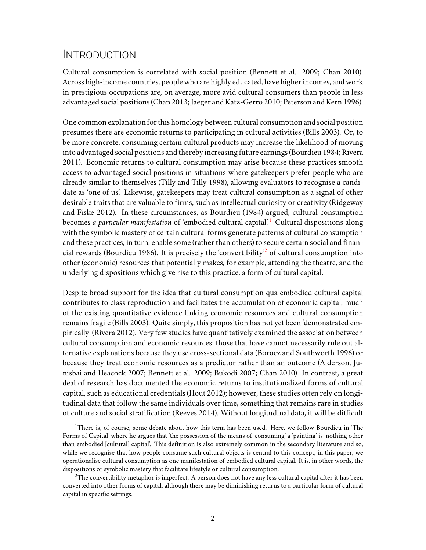### INTRODUCTION

Cultural consumption is correlated with social position (Bennett et al. 2009; Chan 2010). Across high-income countries, people who are highly educated, have higher incomes, and work in prestigious occupations are, on average, more avid cultural consumers than people in less advantaged social positions (Chan 2013; Jaeger and Katz-Gerro 2010; Peterson and Kern 1996).

One common explanation for this homology between cultural consumption and social position presumes there are economic returns to participating in cultural activities (Bills 2003). Or, to be more concrete, consuming certain cultural products may increase the likelihood of moving into advantaged social positions and thereby increasing future earnings (Bourdieu 1984; Rivera 2011). Economic returns to cultural consumption may arise because these practices smooth access to advantaged social positions in situations where gatekeepers prefer people who are already similar to themselves (Tilly and Tilly 1998), allowing evaluators to recognise a candidate as 'one of us'. Likewise, gatekeepers may treat cultural consumption as a signal of other desirable traits that are valuable to firms, such as intellectual curiosity or creativity (Ridgeway and Fiske 2012). In these circumstances, as Bourdieu (1984) argued, cultural consumption becomes *a particular manifestation* of 'embodied cultural capital'.[1](#page-1-0) Cultural dispositions along with the symbolic mastery of certain cultural forms generate patterns of cultural consumption and these practices, in turn, enable some (rather than others) to secure certain social and finan-cial rewards (Bourdieu 1986). It is precisely the 'convertibility'<sup>[2](#page-1-1)</sup> of cultural consumption into other (economic) resources that potentially makes, for example, attending the theatre, and the underlying dispositions which give rise to this practice, a form of cultural capital.

Despite broad support for the idea that cultural consumption qua embodied cultural capital contributes to class reproduction and facilitates the accumulation of economic capital, much of the existing quantitative evidence linking economic resources and cultural consumption remains fragile (Bills 2003). Quite simply, this proposition has not yet been 'demonstrated empirically' (Rivera 2012). Very few studies have quantitatively examined the association between cultural consumption and economic resources; those that have cannot necessarily rule out alternative explanations because they use cross-sectional data (Böröcz and Southworth 1996) or because they treat economic resources as a predictor rather than an outcome (Alderson, Junisbai and Heacock 2007; Bennett et al. 2009; Bukodi 2007; Chan 2010). In contrast, a great deal of research has documented the economic returns to institutionalized forms of cultural capital, such as educational credentials (Hout 2012); however, these studies often rely on longitudinal data that follow the same individuals over time, something that remains rare in studies of culture and social stratification (Reeves 2014). Without longitudinal data, it will be difficult

<span id="page-1-0"></span> $1$ There is, of course, some debate about how this term has been used. Here, we follow Bourdieu in 'The Forms of Capital' where he argues that 'the possession of the means of 'consuming' a 'painting' is 'nothing other than embodied [cultural] capital'. This definition is also extremely common in the secondary literature and so, while we recognise that how people consume such cultural objects is central to this concept, in this paper, we operationalise cultural consumption as one manifestation of embodied cultural capital. It is, in other words, the dispositions or symbolic mastery that facilitate lifestyle or cultural consumption.

<span id="page-1-1"></span> $2$ The convertibility metaphor is imperfect. A person does not have any less cultural capital after it has been converted into other forms of capital, although there may be diminishing returns to a particular form of cultural capital in specific settings.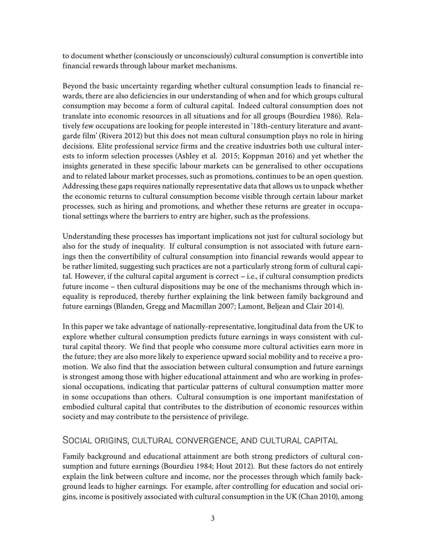to document whether (consciously or unconsciously) cultural consumption is convertible into financial rewards through labour market mechanisms.

Beyond the basic uncertainty regarding whether cultural consumption leads to financial rewards, there are also deficiencies in our understanding of when and for which groups cultural consumption may become a form of cultural capital. Indeed cultural consumption does not translate into economic resources in all situations and for all groups (Bourdieu 1986). Relatively few occupations are looking for people interested in '18th-century literature and avantgarde film' (Rivera 2012) but this does not mean cultural consumption plays no role in hiring decisions. Elite professional service firms and the creative industries both use cultural interests to inform selection processes (Ashley et al. 2015; Koppman 2016) and yet whether the insights generated in these specific labour markets can be generalised to other occupations and to related labour market processes, such as promotions, continues to be an open question. Addressing these gaps requires nationally representative data that allows us to unpack whether the economic returns to cultural consumption become visible through certain labour market processes, such as hiring and promotions, and whether these returns are greater in occupational settings where the barriers to entry are higher, such as the professions.

Understanding these processes has important implications not just for cultural sociology but also for the study of inequality. If cultural consumption is not associated with future earnings then the convertibility of cultural consumption into financial rewards would appear to be rather limited, suggesting such practices are not a particularly strong form of cultural capital. However, if the cultural capital argument is correct – i.e., if cultural consumption predicts future income – then cultural dispositions may be one of the mechanisms through which inequality is reproduced, thereby further explaining the link between family background and future earnings (Blanden, Gregg and Macmillan 2007; Lamont, Beljean and Clair 2014).

In this paper we take advantage of nationally-representative, longitudinal data from the UK to explore whether cultural consumption predicts future earnings in ways consistent with cultural capital theory. We find that people who consume more cultural activities earn more in the future; they are also more likely to experience upward social mobility and to receive a promotion. We also find that the association between cultural consumption and future earnings is strongest among those with higher educational attainment and who are working in professional occupations, indicating that particular patterns of cultural consumption matter more in some occupations than others. Cultural consumption is one important manifestation of embodied cultural capital that contributes to the distribution of economic resources within society and may contribute to the persistence of privilege.

#### SOCIAL ORIGINS, CULTURAL CONVERGENCE, AND CULTURAL CAPITAL

Family background and educational attainment are both strong predictors of cultural consumption and future earnings (Bourdieu 1984; Hout 2012). But these factors do not entirely explain the link between culture and income, nor the processes through which family background leads to higher earnings. For example, after controlling for education and social origins, income is positively associated with cultural consumption in the UK (Chan 2010), among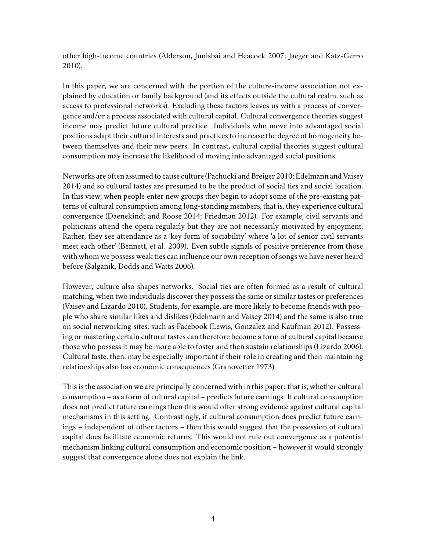other high-income countries (Alderson, Junisbai and Heacock 2007; Jaeger and Katz-Gerro 2010).

In this paper, we are concerned with the portion of the culture-income association not explained by education or family background (and its effects outside the cultural realm, such as access to professional networks). Excluding these factors leaves us with a process of convergence and/or a process associated with cultural capital. Cultural convergence theories suggest income may predict future cultural practice. Individuals who move into advantaged social positions adapt their cultural interests and practices to increase the degree of homogeneity between themselves and their new peers. In contrast, cultural capital theories suggest cultural consumption may increase the likelihood of moving into advantaged social positions.

Networks are often assumed to cause culture (Pachucki and Breiger 2010; Edelmann and Vaisey 2014) and so cultural tastes are presumed to be the product of social ties and social location. In this view, when people enter new groups they begin to adopt some of the pre-existing patterns of cultural consumption among long-standing members, that is, they experience cultural convergence (Daenekindt and Roose 2014; Friedman 2012). For example, civil servants and politicians attend the opera regularly but they are not necessarily motivated by enjoyment. Rather, they see attendance as a 'key form of sociability' where 'a lot of senior civil servants meet each other' (Bennett, et al. 2009). Even subtle signals of positive preference from those with whom we possess weak ties can influence our own reception of songs we have never heard before (Salganik, Dodds and Watts 2006).

However, culture also shapes networks. Social ties are often formed as a result of cultural matching, when two individuals discover they possess the same or similar tastes or preferences (Vaisey and Lizardo 2010). Students, for example, are more likely to become friends with people who share similar likes and dislikes (Edelmann and Vaisey 2014) and the same is also true on social networking sites, such as Facebook (Lewis, Gonzalez and Kaufman 2012). Possessing or mastering certain cultural tastes can therefore become a form of cultural capital because those who possess it may be more able to foster and then sustain relationships (Lizardo 2006). Cultural taste, then, may be especially important if their role in creating and then maintaining relationships also has economic consequences (Granovetter 1973).

This is the association we are principally concerned with in this paper: that is, whether cultural consumption – as a form of cultural capital – predicts future earnings. If cultural consumption does not predict future earnings then this would offer strong evidence against cultural capital mechanisms in this setting. Contrastingly, if cultural consumption does predict future earnings – independent of other factors – then this would suggest that the possession of cultural capital does facilitate economic returns. This would not rule out convergence as a potential mechanism linking cultural consumption and economic position – however it would strongly suggest that convergence alone does not explain the link.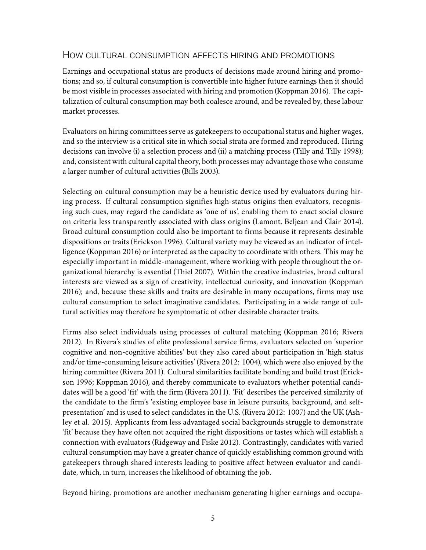#### HOW CULTURAL CONSUMPTION AFFECTS HIRING AND PROMOTIONS

Earnings and occupational status are products of decisions made around hiring and promotions; and so, if cultural consumption is convertible into higher future earnings then it should be most visible in processes associated with hiring and promotion (Koppman 2016). The capitalization of cultural consumption may both coalesce around, and be revealed by, these labour market processes.

Evaluators on hiring committees serve as gatekeepers to occupational status and higher wages, and so the interview is a critical site in which social strata are formed and reproduced. Hiring decisions can involve (i) a selection process and (ii) a matching process (Tilly and Tilly 1998); and, consistent with cultural capital theory, both processes may advantage those who consume a larger number of cultural activities (Bills 2003).

Selecting on cultural consumption may be a heuristic device used by evaluators during hiring process. If cultural consumption signifies high-status origins then evaluators, recognising such cues, may regard the candidate as 'one of us', enabling them to enact social closure on criteria less transparently associated with class origins (Lamont, Beljean and Clair 2014). Broad cultural consumption could also be important to firms because it represents desirable dispositions or traits (Erickson 1996). Cultural variety may be viewed as an indicator of intelligence (Koppman 2016) or interpreted as the capacity to coordinate with others. This may be especially important in middle-management, where working with people throughout the organizational hierarchy is essential (Thiel 2007). Within the creative industries, broad cultural interests are viewed as a sign of creativity, intellectual curiosity, and innovation (Koppman 2016); and, because these skills and traits are desirable in many occupations, firms may use cultural consumption to select imaginative candidates. Participating in a wide range of cultural activities may therefore be symptomatic of other desirable character traits.

Firms also select individuals using processes of cultural matching (Koppman 2016; Rivera 2012). In Rivera's studies of elite professional service firms, evaluators selected on 'superior cognitive and non-cognitive abilities' but they also cared about participation in 'high status and/or time-consuming leisure activities' (Rivera 2012: 1004), which were also enjoyed by the hiring committee (Rivera 2011). Cultural similarities facilitate bonding and build trust (Erickson 1996; Koppman 2016), and thereby communicate to evaluators whether potential candidates will be a good 'fit' with the firm (Rivera 2011). 'Fit' describes the perceived similarity of the candidate to the firm's 'existing employee base in leisure pursuits, background, and selfpresentation' and is used to select candidates in the U.S. (Rivera 2012: 1007) and the UK (Ashley et al. 2015). Applicants from less advantaged social backgrounds struggle to demonstrate 'fit' because they have often not acquired the right dispositions or tastes which will establish a connection with evaluators (Ridgeway and Fiske 2012). Contrastingly, candidates with varied cultural consumption may have a greater chance of quickly establishing common ground with gatekeepers through shared interests leading to positive affect between evaluator and candidate, which, in turn, increases the likelihood of obtaining the job.

Beyond hiring, promotions are another mechanism generating higher earnings and occupa-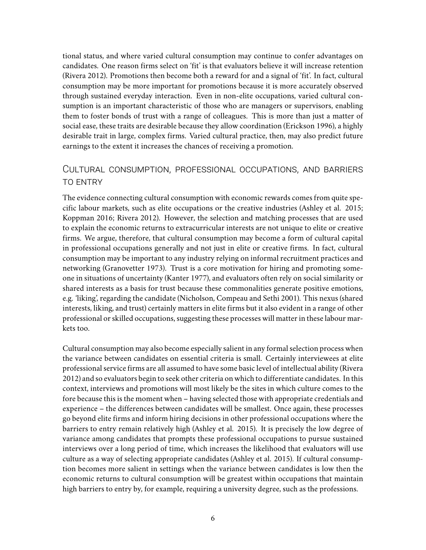tional status, and where varied cultural consumption may continue to confer advantages on candidates. One reason firms select on 'fit' is that evaluators believe it will increase retention (Rivera 2012). Promotions then become both a reward for and a signal of 'fit'. In fact, cultural consumption may be more important for promotions because it is more accurately observed through sustained everyday interaction. Even in non-elite occupations, varied cultural consumption is an important characteristic of those who are managers or supervisors, enabling them to foster bonds of trust with a range of colleagues. This is more than just a matter of social ease, these traits are desirable because they allow coordination (Erickson 1996), a highly desirable trait in large, complex firms. Varied cultural practice, then, may also predict future earnings to the extent it increases the chances of receiving a promotion.

#### CULTURAL CONSUMPTION, PROFESSIONAL OCCUPATIONS, AND BARRIERS TO FNTRY

The evidence connecting cultural consumption with economic rewards comes from quite specific labour markets, such as elite occupations or the creative industries (Ashley et al. 2015; Koppman 2016; Rivera 2012). However, the selection and matching processes that are used to explain the economic returns to extracurricular interests are not unique to elite or creative firms. We argue, therefore, that cultural consumption may become a form of cultural capital in professional occupations generally and not just in elite or creative firms. In fact, cultural consumption may be important to any industry relying on informal recruitment practices and networking (Granovetter 1973). Trust is a core motivation for hiring and promoting someone in situations of uncertainty (Kanter 1977), and evaluators often rely on social similarity or shared interests as a basis for trust because these commonalities generate positive emotions, e.g. 'liking', regarding the candidate (Nicholson, Compeau and Sethi 2001). This nexus (shared interests, liking, and trust) certainly matters in elite firms but it also evident in a range of other professional or skilled occupations, suggesting these processes will matter in these labour markets too.

Cultural consumption may also become especially salient in any formal selection process when the variance between candidates on essential criteria is small. Certainly interviewees at elite professional service firms are all assumed to have some basic level of intellectual ability (Rivera 2012) and so evaluators begin to seek other criteria on which to differentiate candidates. In this context, interviews and promotions will most likely be the sites in which culture comes to the fore because this is the moment when – having selected those with appropriate credentials and experience – the differences between candidates will be smallest. Once again, these processes go beyond elite firms and inform hiring decisions in other professional occupations where the barriers to entry remain relatively high (Ashley et al. 2015). It is precisely the low degree of variance among candidates that prompts these professional occupations to pursue sustained interviews over a long period of time, which increases the likelihood that evaluators will use culture as a way of selecting appropriate candidates (Ashley et al. 2015). If cultural consumption becomes more salient in settings when the variance between candidates is low then the economic returns to cultural consumption will be greatest within occupations that maintain high barriers to entry by, for example, requiring a university degree, such as the professions.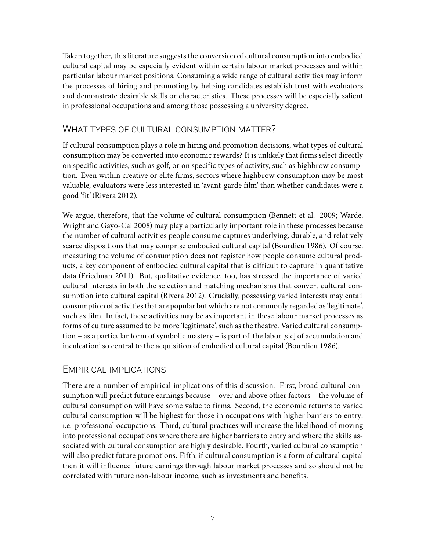Taken together, this literature suggests the conversion of cultural consumption into embodied cultural capital may be especially evident within certain labour market processes and within particular labour market positions. Consuming a wide range of cultural activities may inform the processes of hiring and promoting by helping candidates establish trust with evaluators and demonstrate desirable skills or characteristics. These processes will be especially salient in professional occupations and among those possessing a university degree.

### WHAT TYPES OF CULTURAL CONSUMPTION MATTER?

If cultural consumption plays a role in hiring and promotion decisions, what types of cultural consumption may be converted into economic rewards? It is unlikely that firms select directly on specific activities, such as golf, or on specific types of activity, such as highbrow consumption. Even within creative or elite firms, sectors where highbrow consumption may be most valuable, evaluators were less interested in 'avant-garde film' than whether candidates were a good 'fit' (Rivera 2012).

We argue, therefore, that the volume of cultural consumption (Bennett et al. 2009; Warde, Wright and Gayo-Cal 2008) may play a particularly important role in these processes because the number of cultural activities people consume captures underlying, durable, and relatively scarce dispositions that may comprise embodied cultural capital (Bourdieu 1986). Of course, measuring the volume of consumption does not register how people consume cultural products, a key component of embodied cultural capital that is difficult to capture in quantitative data (Friedman 2011). But, qualitative evidence, too, has stressed the importance of varied cultural interests in both the selection and matching mechanisms that convert cultural consumption into cultural capital (Rivera 2012). Crucially, possessing varied interests may entail consumption of activities that are popular but which are not commonly regarded as 'legitimate', such as film. In fact, these activities may be as important in these labour market processes as forms of culture assumed to be more 'legitimate', such as the theatre. Varied cultural consumption – as a particular form of symbolic mastery – is part of 'the labor [sic] of accumulation and inculcation' so central to the acquisition of embodied cultural capital (Bourdieu 1986).

### EMPIRICAL IMPLICATIONS

There are a number of empirical implications of this discussion. First, broad cultural consumption will predict future earnings because – over and above other factors – the volume of cultural consumption will have some value to firms. Second, the economic returns to varied cultural consumption will be highest for those in occupations with higher barriers to entry: i.e. professional occupations. Third, cultural practices will increase the likelihood of moving into professional occupations where there are higher barriers to entry and where the skills associated with cultural consumption are highly desirable. Fourth, varied cultural consumption will also predict future promotions. Fifth, if cultural consumption is a form of cultural capital then it will influence future earnings through labour market processes and so should not be correlated with future non-labour income, such as investments and benefits.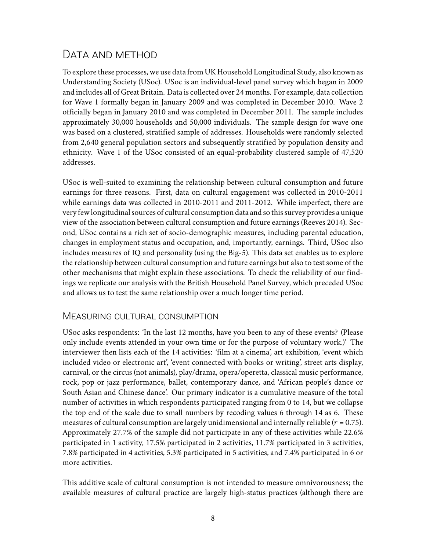# DATA AND METHOD

To explore these processes, we use data from UK Household Longitudinal Study, also known as Understanding Society (USoc). USoc is an individual-level panel survey which began in 2009 and includes all of Great Britain. Data is collected over 24 months. For example, data collection for Wave 1 formally began in January 2009 and was completed in December 2010. Wave 2 officially began in January 2010 and was completed in December 2011. The sample includes approximately 30,000 households and 50,000 individuals. The sample design for wave one was based on a clustered, stratified sample of addresses. Households were randomly selected from 2,640 general population sectors and subsequently stratified by population density and ethnicity. Wave 1 of the USoc consisted of an equal-probability clustered sample of 47,520 addresses.

USoc is well-suited to examining the relationship between cultural consumption and future earnings for three reasons. First, data on cultural engagement was collected in 2010-2011 while earnings data was collected in 2010-2011 and 2011-2012. While imperfect, there are very few longitudinal sources of cultural consumption data and so this survey provides a unique view of the association between cultural consumption and future earnings (Reeves 2014). Second, USoc contains a rich set of socio-demographic measures, including parental education, changes in employment status and occupation, and, importantly, earnings. Third, USoc also includes measures of IQ and personality (using the Big-5). This data set enables us to explore the relationship between cultural consumption and future earnings but also to test some of the other mechanisms that might explain these associations. To check the reliability of our findings we replicate our analysis with the British Household Panel Survey, which preceded USoc and allows us to test the same relationship over a much longer time period.

### MEASURING CULTURAL CONSUMPTION

USoc asks respondents: 'In the last 12 months, have you been to any of these events? (Please only include events attended in your own time or for the purpose of voluntary work.)' The interviewer then lists each of the 14 activities: 'film at a cinema', art exhibition, 'event which included video or electronic art', 'event connected with books or writing', street arts display, carnival, or the circus (not animals), play/drama, opera/operetta, classical music performance, rock, pop or jazz performance, ballet, contemporary dance, and 'African people's dance or South Asian and Chinese dance'. Our primary indicator is a cumulative measure of the total number of activities in which respondents participated ranging from 0 to 14, but we collapse the top end of the scale due to small numbers by recoding values 6 through 14 as 6. These measures of cultural consumption are largely unidimensional and internally reliable  $(r = 0.75)$ . Approximately 27.7% of the sample did not participate in any of these activities while 22.6% participated in 1 activity, 17.5% participated in 2 activities, 11.7% participated in 3 activities, 7.8% participated in 4 activities, 5.3% participated in 5 activities, and 7.4% participated in 6 or more activities.

This additive scale of cultural consumption is not intended to measure omnivorousness; the available measures of cultural practice are largely high-status practices (although there are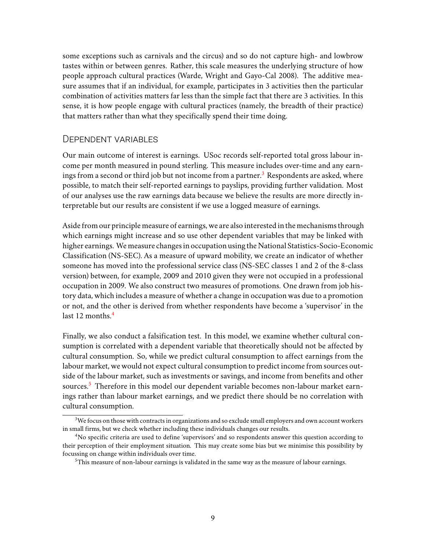some exceptions such as carnivals and the circus) and so do not capture high- and lowbrow tastes within or between genres. Rather, this scale measures the underlying structure of how people approach cultural practices (Warde, Wright and Gayo-Cal 2008). The additive measure assumes that if an individual, for example, participates in 3 activities then the particular combination of activities matters far less than the simple fact that there are 3 activities. In this sense, it is how people engage with cultural practices (namely, the breadth of their practice) that matters rather than what they specifically spend their time doing.

#### DEPENDENT VARIABLES

Our main outcome of interest is earnings. USoc records self-reported total gross labour income per month measured in pound sterling. This measure includes over-time and any earn-ings from a second or third job but not income from a partner.<sup>[3](#page-8-0)</sup> Respondents are asked, where possible, to match their self-reported earnings to payslips, providing further validation. Most of our analyses use the raw earnings data because we believe the results are more directly interpretable but our results are consistent if we use a logged measure of earnings.

Aside from our principle measure of earnings, we are also interested in the mechanisms through which earnings might increase and so use other dependent variables that may be linked with higher earnings. We measure changes in occupation using the National Statistics-Socio-Economic Classification (NS-SEC). As a measure of upward mobility, we create an indicator of whether someone has moved into the professional service class (NS-SEC classes 1 and 2 of the 8-class version) between, for example, 2009 and 2010 given they were not occupied in a professional occupation in 2009. We also construct two measures of promotions. One drawn from job history data, which includes a measure of whether a change in occupation was due to a promotion or not, and the other is derived from whether respondents have become a 'supervisor' in the last 12 months $<sup>4</sup>$  $<sup>4</sup>$  $<sup>4</sup>$ </sup>

Finally, we also conduct a falsification test. In this model, we examine whether cultural consumption is correlated with a dependent variable that theoretically should not be affected by cultural consumption. So, while we predict cultural consumption to affect earnings from the labour market, we would not expect cultural consumption to predict income from sources outside of the labour market, such as investments or savings, and income from benefits and other sources.<sup>[5](#page-8-2)</sup> Therefore in this model our dependent variable becomes non-labour market earnings rather than labour market earnings, and we predict there should be no correlation with cultural consumption.

<span id="page-8-0"></span> $3$ We focus on those with contracts in organizations and so exclude small employers and own account workers in small firms, but we check whether including these individuals changes our results.

<span id="page-8-1"></span><sup>4</sup>No specific criteria are used to define 'supervisors' and so respondents answer this question according to their perception of their employment situation. This may create some bias but we minimise this possibility by focussing on change within individuals over time.

<span id="page-8-2"></span><sup>5</sup>This measure of non-labour earnings is validated in the same way as the measure of labour earnings.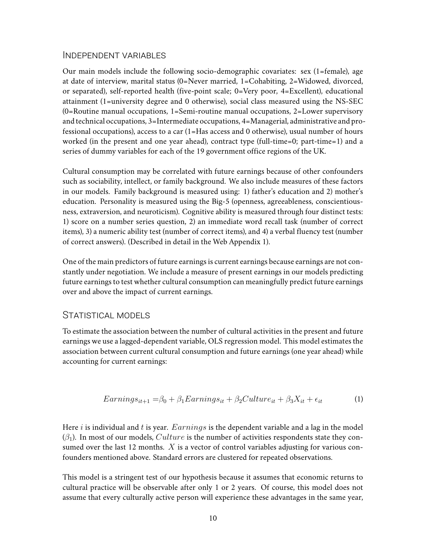#### INDEPENDENT VARIABLES

Our main models include the following socio-demographic covariates: sex (1=female), age at date of interview, marital status (0=Never married, 1=Cohabiting, 2=Widowed, divorced, or separated), self-reported health (five-point scale; 0=Very poor, 4=Excellent), educational attainment (1=university degree and 0 otherwise), social class measured using the NS-SEC (0=Routine manual occupations, 1=Semi-routine manual occupations, 2=Lower supervisory and technical occupations, 3=Intermediate occupations, 4=Managerial, administrative and professional occupations), access to a car (1=Has access and 0 otherwise), usual number of hours worked (in the present and one year ahead), contract type (full-time=0; part-time=1) and a series of dummy variables for each of the 19 government office regions of the UK.

Cultural consumption may be correlated with future earnings because of other confounders such as sociability, intellect, or family background. We also include measures of these factors in our models. Family background is measured using: 1) father's education and 2) mother's education. Personality is measured using the Big-5 (openness, agreeableness, conscientiousness, extraversion, and neuroticism). Cognitive ability is measured through four distinct tests: 1) score on a number series question, 2) an immediate word recall task (number of correct items), 3) a numeric ability test (number of correct items), and 4) a verbal fluency test (number of correct answers). (Described in detail in the Web Appendix 1).

One of the main predictors of future earnings is current earnings because earnings are not constantly under negotiation. We include a measure of present earnings in our models predicting future earnings to test whether cultural consumption can meaningfully predict future earnings over and above the impact of current earnings.

#### STATISTICAL MODELS

To estimate the association between the number of cultural activities in the present and future earnings we use a lagged-dependent variable, OLS regression model. This model estimates the association between current cultural consumption and future earnings (one year ahead) while accounting for current earnings:

$$
Earning s_{it+1} = \beta_0 + \beta_1 Earning s_{it} + \beta_2 Culture_{it} + \beta_3 X_{it} + \epsilon_{it}
$$
 (1)

Here *i* is individual and *t* is year. *Earnings* is the dependent variable and a lag in the model (*β*1). In most of our models, *Culture* is the number of activities respondents state they consumed over the last 12 months. *X* is a vector of control variables adjusting for various confounders mentioned above. Standard errors are clustered for repeated observations.

This model is a stringent test of our hypothesis because it assumes that economic returns to cultural practice will be observable after only 1 or 2 years. Of course, this model does not assume that every culturally active person will experience these advantages in the same year,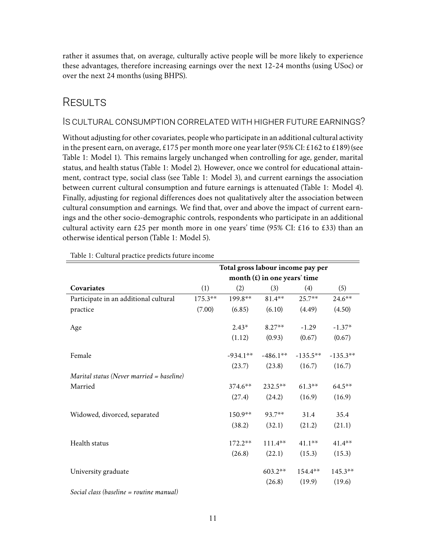rather it assumes that, on average, culturally active people will be more likely to experience these advantages, therefore increasing earnings over the next 12-24 months (using USoc) or over the next 24 months (using BHPS).

## RESULTS

#### IS CULTURAL CONSUMPTION CORRELATED WITH HIGHER FUTURE EARNINGS?

Without adjusting for other covariates, people who participate in an additional cultural activity in the present earn, on average, £175 per month more one year later (95% CI: £162 to £189) (see Table 1: Model 1). This remains largely unchanged when controlling for age, gender, marital status, and health status (Table 1: Model 2). However, once we control for educational attainment, contract type, social class (see Table 1: Model 3), and current earnings the association between current cultural consumption and future earnings is attenuated (Table 1: Model 4). Finally, adjusting for regional differences does not qualitatively alter the association between cultural consumption and earnings. We find that, over and above the impact of current earnings and the other socio-demographic controls, respondents who participate in an additional cultural activity earn £25 per month more in one years' time (95% CI: £16 to £33) than an otherwise identical person (Table 1: Model 5).

|                                             | Total gross labour income pay per |            |            |             |            |
|---------------------------------------------|-----------------------------------|------------|------------|-------------|------------|
|                                             | month $(f)$ in one years' time    |            |            |             |            |
| Covariates                                  | (1)                               | (2)        | (3)        | (4)         | (5)        |
| Participate in an additional cultural       | $175.3**$                         | 199.8**    | $81.4***$  | $25.7**$    | $24.6**$   |
| practice                                    | (7.00)                            | (6.85)     | (6.10)     | (4.49)      | (4.50)     |
| Age                                         |                                   | $2.43*$    | $8.27**$   | $-1.29$     | $-1.37*$   |
|                                             |                                   | (1.12)     | (0.93)     | (0.67)      | (0.67)     |
| Female                                      |                                   | $-934.1**$ | $-486.1**$ | $-135.5***$ | $-135.3**$ |
|                                             |                                   | (23.7)     | (23.8)     | (16.7)      | (16.7)     |
| Marital status (Never married $=$ baseline) |                                   |            |            |             |            |
| Married                                     |                                   | $374.6**$  | $232.5**$  | $61.3**$    | $64.5**$   |
|                                             |                                   | (27.4)     | (24.2)     | (16.9)      | (16.9)     |
| Widowed, divorced, separated                |                                   | $150.9**$  | $93.7**$   | 31.4        | 35.4       |
|                                             |                                   | (38.2)     | (32.1)     | (21.2)      | (21.1)     |
| Health status                               |                                   | $172.2**$  | $111.4***$ | $41.1***$   | $41.4***$  |
|                                             |                                   | (26.8)     | (22.1)     | (15.3)      | (15.3)     |
| University graduate                         |                                   |            | $603.2**$  | $154.4**$   | $145.3**$  |
|                                             |                                   |            | (26.8)     | (19.9)      | (19.6)     |
| Social class (baseline = routine manual)    |                                   |            |            |             |            |

Table 1: Cultural practice predicts future income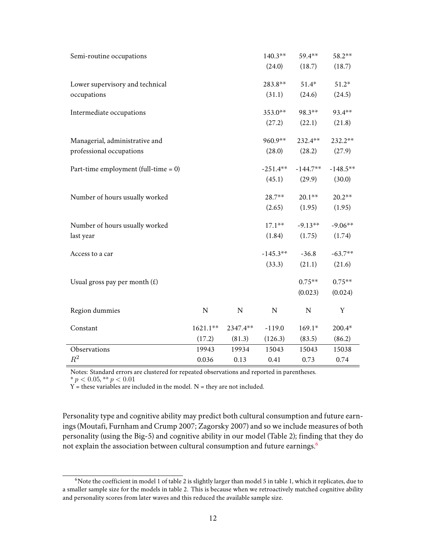| Semi-routine occupations                |            |           | $140.3**$  | $59.4**$    | 58.2**      |
|-----------------------------------------|------------|-----------|------------|-------------|-------------|
|                                         |            |           | (24.0)     | (18.7)      | (18.7)      |
| Lower supervisory and technical         |            |           | 283.8**    | $51.4*$     | $51.2*$     |
| occupations                             |            |           | (31.1)     | (24.6)      | (24.5)      |
| Intermediate occupations                |            |           | 353.0**    | 98.3**      | 93.4**      |
|                                         |            |           | (27.2)     | (22.1)      | (21.8)      |
| Managerial, administrative and          |            |           | 960.9**    | $232.4***$  | 232.2**     |
| professional occupations                |            |           | (28.0)     | (28.2)      | (27.9)      |
| Part-time employment (full-time = $0$ ) |            |           | $-251.4**$ | $-144.7**$  | $-148.5**$  |
|                                         |            |           | (45.1)     | (29.9)      | (30.0)      |
| Number of hours usually worked          |            |           | $28.7**$   | $20.1**$    | $20.2**$    |
|                                         |            |           | (2.65)     | (1.95)      | (1.95)      |
| Number of hours usually worked          |            |           | $17.1***$  | $-9.13**$   | $-9.06**$   |
| last year                               |            |           | (1.84)     | (1.75)      | (1.74)      |
| Access to a car                         |            |           | $-145.3**$ | $-36.8$     | $-63.7**$   |
|                                         |            |           | (33.3)     | (21.1)      | (21.6)      |
| Usual gross pay per month $(f)$         |            |           |            | $0.75**$    | $0.75**$    |
|                                         |            |           |            | (0.023)     | (0.024)     |
| Region dummies                          | ${\bf N}$  | ${\bf N}$ | ${\bf N}$  | $\mathbf N$ | $\mathbf Y$ |
| Constant                                | $1621.1**$ | 2347.4**  | $-119.0$   | $169.1*$    | 200.4*      |
|                                         | (17.2)     | (81.3)    | (126.3)    | (83.5)      | (86.2)      |
| Observations                            | 19943      | 19934     | 15043      | 15043       | 15038       |
| $R^2$                                   | 0.036      | 0.13      | 0.41       | 0.73        | 0.74        |

Notes: Standard errors are clustered for repeated observations and reported in parentheses.

 $* p < 0.05$ ,  $** p < 0.01$ 

 $Y =$  these variables are included in the model. N = they are not included.

Personality type and cognitive ability may predict both cultural consumption and future earnings (Moutafi, Furnham and Crump 2007; Zagorsky 2007) and so we include measures of both personality (using the Big-5) and cognitive ability in our model (Table 2); finding that they do not explain the association between cultural consumption and future earnings.<sup>[6](#page-11-0)</sup>

<span id="page-11-0"></span><sup>6</sup>Note the coefficient in model 1 of table 2 is slightly larger than model 5 in table 1, which it replicates, due to a smaller sample size for the models in table 2. This is because when we retroactively matched cognitive ability and personality scores from later waves and this reduced the available sample size.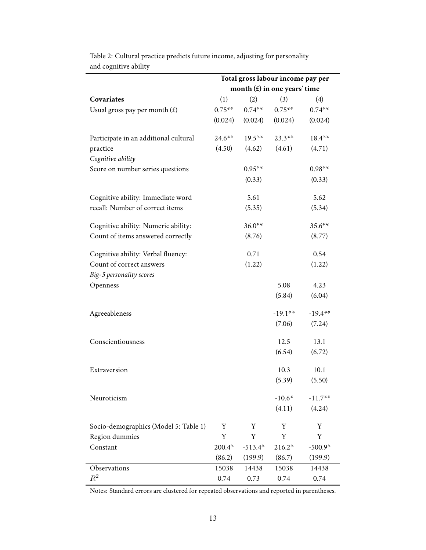|                                       | Total gross labour income pay per |           |             |            |  |
|---------------------------------------|-----------------------------------|-----------|-------------|------------|--|
|                                       | month $(f)$ in one years' time    |           |             |            |  |
| Covariates                            | (1)                               | (2)       | (3)         | (4)        |  |
| Usual gross pay per month $(E)$       | $0.75**$                          | $0.74***$ | $0.75**$    | $0.74***$  |  |
|                                       | (0.024)                           | (0.024)   | (0.024)     | (0.024)    |  |
| Participate in an additional cultural | $24.6**$                          | $19.5***$ | $23.3**$    | $18.4**$   |  |
| practice                              | (4.50)                            | (4.62)    | (4.61)      | (4.71)     |  |
| Cognitive ability                     |                                   |           |             |            |  |
| Score on number series questions      |                                   | $0.95**$  |             | $0.98**$   |  |
|                                       |                                   | (0.33)    |             | (0.33)     |  |
| Cognitive ability: Immediate word     |                                   | 5.61      |             | 5.62       |  |
| recall: Number of correct items       |                                   | (5.35)    |             | (5.34)     |  |
| Cognitive ability: Numeric ability:   |                                   | $36.0**$  |             | $35.6**$   |  |
| Count of items answered correctly     |                                   | (8.76)    |             | (8.77)     |  |
| Cognitive ability: Verbal fluency:    |                                   | 0.71      |             | 0.54       |  |
| Count of correct answers              |                                   | (1.22)    |             | (1.22)     |  |
| Big-5 personality scores              |                                   |           |             |            |  |
| Openness                              |                                   |           | 5.08        | 4.23       |  |
|                                       |                                   |           | (5.84)      | (6.04)     |  |
| Agreeableness                         |                                   |           | $-19.1***$  | $-19.4***$ |  |
|                                       |                                   |           | (7.06)      | (7.24)     |  |
| Conscientiousness                     |                                   |           | 12.5        | 13.1       |  |
|                                       |                                   |           | (6.54)      | (6.72)     |  |
| Extraversion                          |                                   |           | 10.3        | 10.1       |  |
|                                       |                                   |           | (5.39)      | (5.50)     |  |
| Neuroticism                           |                                   |           | $-10.6*$    | $-11.7**$  |  |
|                                       |                                   |           | (4.11)      | (4.24)     |  |
| Socio-demographics (Model 5: Table 1) | Y                                 | Y         | Y           | Y          |  |
| Region dummies                        | Y                                 | Y         | $\mathbf Y$ | Y          |  |
| Constant                              | 200.4*                            | $-513.4*$ | $216.2*$    | $-500.9*$  |  |
|                                       | (86.2)                            | (199.9)   | (86.7)      | (199.9)    |  |
| Observations                          | 15038                             | 14438     | 15038       | 14438      |  |
| $R^2$                                 | 0.74                              | 0.73      | 0.74        | 0.74       |  |

Table 2: Cultural practice predicts future income, adjusting for personality and cognitive ability

Notes: Standard errors are clustered for repeated observations and reported in parentheses.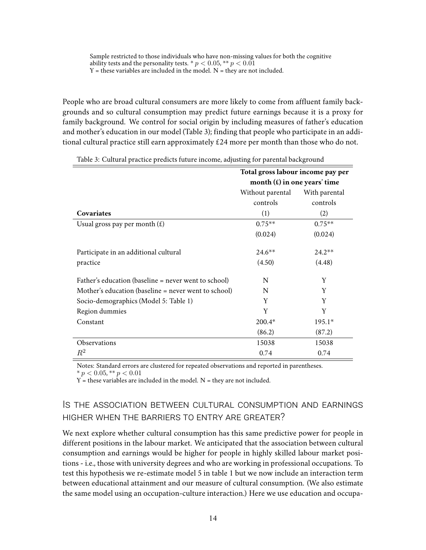Sample restricted to those individuals who have non-missing values for both the cognitive ability tests and the personality tests. \*  $p < 0.05$ , \*\*  $p < 0.01$  $Y =$  these variables are included in the model.  $N =$  they are not included.

People who are broad cultural consumers are more likely to come from affluent family backgrounds and so cultural consumption may predict future earnings because it is a proxy for family background. We control for social origin by including measures of father's education and mother's education in our model (Table 3); finding that people who participate in an additional cultural practice still earn approximately  $\text{\pounds}24$  more per month than those who do not.

|                                                      | Total gross labour income pay per |               |  |
|------------------------------------------------------|-----------------------------------|---------------|--|
|                                                      | month $(f)$ in one years' time    |               |  |
|                                                      | Without parental                  | With parental |  |
|                                                      | controls                          | controls      |  |
| Covariates                                           | (1)                               | (2)           |  |
| Usual gross pay per month $(E)$                      | $0.75**$                          | $0.75**$      |  |
|                                                      | (0.024)                           | (0.024)       |  |
| Participate in an additional cultural                | $24.6**$                          | $24.2**$      |  |
| practice                                             | (4.50)                            | (4.48)        |  |
| Father's education (baseline = never went to school) | N                                 | Y             |  |
| Mother's education (baseline = never went to school) | N                                 | Y             |  |
| Socio-demographics (Model 5: Table 1)                | Y                                 | Y             |  |
| Region dummies                                       | Y                                 | Y             |  |
| Constant                                             | $200.4*$                          | $195.1*$      |  |
|                                                      | (86.2)                            | (87.2)        |  |
| Observations                                         | 15038                             | 15038         |  |
| $R^2$                                                | 0.74                              | 0.74          |  |

Table 3: Cultural practice predicts future income, adjusting for parental background

Notes: Standard errors are clustered for repeated observations and reported in parentheses.  $* p < 0.05$ ,  $* p < 0.01$ 

 $\overline{Y}$  = these variables are included in the model. N = they are not included.

### IS THE ASSOCIATION BETWEEN CULTURAL CONSUMPTION AND EARNINGS HIGHER WHEN THE BARRIERS TO ENTRY ARE GREATER?

We next explore whether cultural consumption has this same predictive power for people in different positions in the labour market. We anticipated that the association between cultural consumption and earnings would be higher for people in highly skilled labour market positions - i.e., those with university degrees and who are working in professional occupations. To test this hypothesis we re-estimate model 5 in table 1 but we now include an interaction term between educational attainment and our measure of cultural consumption. (We also estimate the same model using an occupation-culture interaction.) Here we use education and occupa-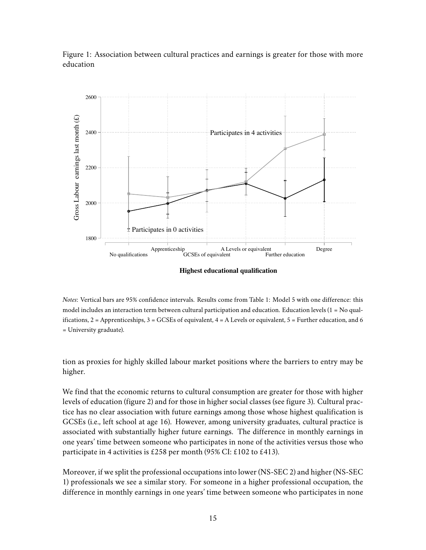





*Notes*: Vertical bars are 95% confidence intervals. Results come from Table 1: Model 5 with one difference: this model includes an interaction term between cultural participation and education. Education levels  $(1 = No$  qualifications,  $2 =$  Apprenticeships,  $3 =$  GCSEs of equivalent,  $4 =$  A Levels or equivalent,  $5 =$  Further education, and 6 = University graduate).

tion as proxies for highly skilled labour market positions where the barriers to entry may be higher.

We find that the economic returns to cultural consumption are greater for those with higher levels of education (figure 2) and for those in higher social classes (see figure 3). Cultural practice has no clear association with future earnings among those whose highest qualification is GCSEs (i.e., left school at age 16). However, among university graduates, cultural practice is associated with substantially higher future earnings. The difference in monthly earnings in one years' time between someone who participates in none of the activities versus those who participate in 4 activities is £258 per month (95% CI: £102 to £413).

Moreover, if we split the professional occupations into lower (NS-SEC 2) and higher (NS-SEC 1) professionals we see a similar story. For someone in a higher professional occupation, the difference in monthly earnings in one years' time between someone who participates in none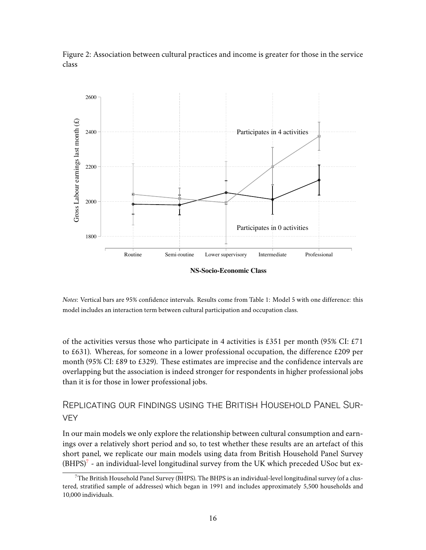

Figure 2: Association between cultural practices and income is greater for those in the service class

*Notes*: Vertical bars are 95% confidence intervals. Results come from Table 1: Model 5 with one difference: this model includes an interaction term between cultural participation and occupation class.

of the activities versus those who participate in 4 activities is £351 per month (95% CI: £71 to £631). Whereas, for someone in a lower professional occupation, the difference £209 per month (95% CI: £89 to £329). These estimates are imprecise and the confidence intervals are overlapping but the association is indeed stronger for respondents in higher professional jobs than it is for those in lower professional jobs.

### REPLICATING OUR FINDINGS USING THE BRITISH HOUSEHOLD PANEL SUR-**VFY**

In our main models we only explore the relationship between cultural consumption and earnings over a relatively short period and so, to test whether these results are an artefact of this short panel, we replicate our main models using data from British Household Panel Survey (BHPS) $^7$  $^7$  - an individual-level longitudinal survey from the UK which preceded USoc but ex-

<span id="page-15-0"></span> $7$ The British Household Panel Survey (BHPS). The BHPS is an individual-level longitudinal survey (of a clustered, stratified sample of addresses) which began in 1991 and includes approximately 5,500 households and 10,000 individuals.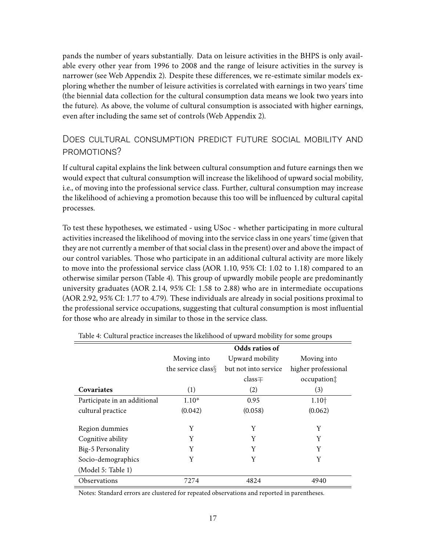pands the number of years substantially. Data on leisure activities in the BHPS is only available every other year from 1996 to 2008 and the range of leisure activities in the survey is narrower (see Web Appendix 2). Despite these differences, we re-estimate similar models exploring whether the number of leisure activities is correlated with earnings in two years' time (the biennial data collection for the cultural consumption data means we look two years into the future). As above, the volume of cultural consumption is associated with higher earnings, even after including the same set of controls (Web Appendix 2).

### DOES CULTURAL CONSUMPTION PREDICT FUTURE SOCIAL MOBILITY AND PROMOTIONS?

If cultural capital explains the link between cultural consumption and future earnings then we would expect that cultural consumption will increase the likelihood of upward social mobility, i.e., of moving into the professional service class. Further, cultural consumption may increase the likelihood of achieving a promotion because this too will be influenced by cultural capital processes.

To test these hypotheses, we estimated - using USoc - whether participating in more cultural activities increased the likelihood of moving into the service class in one years' time (given that they are not currently a member of that social class in the present) over and above the impact of our control variables. Those who participate in an additional cultural activity are more likely to move into the professional service class (AOR 1.10, 95% CI: 1.02 to 1.18) compared to an otherwise similar person (Table 4). This group of upwardly mobile people are predominantly university graduates (AOR 2.14, 95% CI: 1.58 to 2.88) who are in intermediate occupations (AOR 2.92, 95% CI: 1.77 to 4.79). These individuals are already in social positions proximal to the professional service occupations, suggesting that cultural consumption is most influential for those who are already in similar to those in the service class.

|                              |                                |                      | ັ                                           |
|------------------------------|--------------------------------|----------------------|---------------------------------------------|
|                              |                                | Odds ratios of       |                                             |
|                              | Moving into                    | Upward mobility      | Moving into                                 |
|                              | the service class <sup>§</sup> | but not into service | higher professional                         |
|                              |                                | $class\mp$           | occupation <sup><math>\ddagger</math></sup> |
| Covariates                   | (1)                            | (2)                  | (3)                                         |
| Participate in an additional | $1.10*$                        | 0.95                 | $1.10+$                                     |
| cultural practice            | (0.042)                        | (0.058)              | (0.062)                                     |
| Region dummies               | Y                              | Y                    | Y                                           |
| Cognitive ability            | Y                              | Y                    | Y                                           |
| Big-5 Personality            | Y                              | Y                    | Y                                           |
| Socio-demographics           | Y                              | Y                    | Y                                           |
| (Model 5: Table 1)           |                                |                      |                                             |
| Observations                 | 7274                           | 4824                 | 4940                                        |

Table 4: Cultural practice increases the likelihood of upward mobility for some groups

Notes: Standard errors are clustered for repeated observations and reported in parentheses.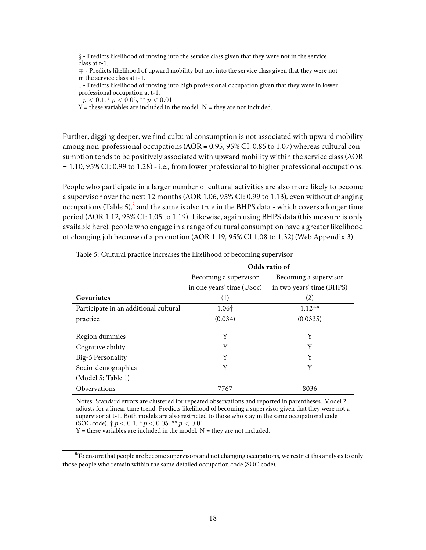*§* - Predicts likelihood of moving into the service class given that they were not in the service class at t-1.

*∓* - Predicts likelihood of upward mobility but not into the service class given that they were not in the service class at t-1.

*‡* - Predicts likelihood of moving into high professional occupation given that they were in lower professional occupation at t-1.

$$
\dagger p < 0.1, \, \text{* } p < 0.05, \, \text{** } p < 0.01
$$

*† p <* 0*.*1, \* *p <* 0*.*05, \*\* *p <* 0*.*01 Y = these variables are included in the model. N = they are not included.

Further, digging deeper, we find cultural consumption is not associated with upward mobility among non-professional occupations (AOR = 0.95, 95% CI: 0.85 to 1.07) whereas cultural consumption tends to be positively associated with upward mobility within the service class (AOR = 1.10, 95% CI: 0.99 to 1.28) - i.e., from lower professional to higher professional occupations.

People who participate in a larger number of cultural activities are also more likely to become a supervisor over the next 12 months (AOR 1.06, 95% CI: 0.99 to 1.13), even without changing occupations (Table 5), $^8$  $^8$  and the same is also true in the BHPS data - which covers a longer time period (AOR 1.12, 95% CI: 1.05 to 1.19). Likewise, again using BHPS data (this measure is only available here), people who engage in a range of cultural consumption have a greater likelihood of changing job because of a promotion (AOR 1.19, 95% CI 1.08 to 1.32) (Web Appendix 3).

|                                       | Odds ratio of             |                           |  |  |  |
|---------------------------------------|---------------------------|---------------------------|--|--|--|
|                                       | Becoming a supervisor     | Becoming a supervisor     |  |  |  |
|                                       | in one years' time (USoc) | in two years' time (BHPS) |  |  |  |
| Covariates                            | (1)                       | (2)                       |  |  |  |
| Participate in an additional cultural | 1.06 <sup>+</sup>         | $1.12**$                  |  |  |  |
| practice                              | (0.034)                   | (0.0335)                  |  |  |  |
| Region dummies                        | Y                         | Y                         |  |  |  |
| Cognitive ability                     | Y                         | Y                         |  |  |  |
| Big-5 Personality                     | Y                         | Y                         |  |  |  |
| Socio-demographics                    | Y                         | Y                         |  |  |  |
| (Model 5: Table 1)                    |                           |                           |  |  |  |
| <b>Observations</b>                   | 7767                      | 8036                      |  |  |  |

| Table 5: Cultural practice increases the likelihood of becoming supervisor |  |  |  |  |
|----------------------------------------------------------------------------|--|--|--|--|
|----------------------------------------------------------------------------|--|--|--|--|

Notes: Standard errors are clustered for repeated observations and reported in parentheses. Model 2 adjusts for a linear time trend. Predicts likelihood of becoming a supervisor given that they were not a supervisor at t-1. Both models are also restricted to those who stay in the same occupational code (SOC code).  $\dagger p < 0.1$ ,  $\dagger p < 0.05$ ,  $\dagger \dagger p < 0.01$ 

<span id="page-17-0"></span> $8$ To ensure that people are become supervisors and not changing occupations, we restrict this analysis to only those people who remain within the same detailed occupation code (SOC code).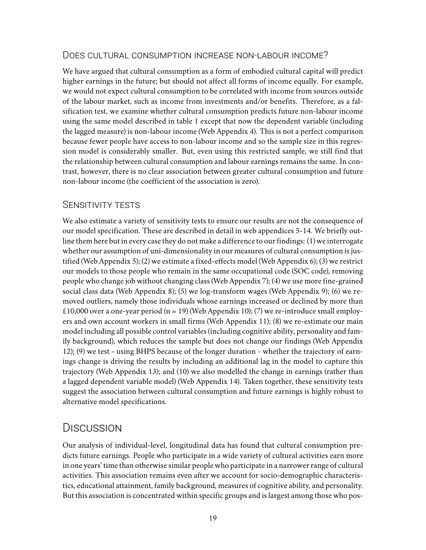### DOES CULTURAL CONSUMPTION INCREASE NON-LABOUR INCOME?

We have argued that cultural consumption as a form of embodied cultural capital will predict higher earnings in the future; but should not affect all forms of income equally. For example, we would not expect cultural consumption to be correlated with income from sources outside of the labour market, such as income from investments and/or benefits. Therefore, as a falsification test, we examine whether cultural consumption predicts future non-labour income using the same model described in table 1 except that now the dependent variable (including the lagged measure) is non-labour income (Web Appendix 4). This is not a perfect comparison because fewer people have access to non-labour income and so the sample size in this regression model is considerably smaller. But, even using this restricted sample, we still find that the relationship between cultural consumption and labour earnings remains the same. In contrast, however, there is no clear association between greater cultural consumption and future non-labour income (the coefficient of the association is zero).

### SENSITIVITY TESTS

We also estimate a variety of sensitivity tests to ensure our results are not the consequence of our model specification. These are described in detail in web appendices 5-14. We briefly outline them here but in every case they do not make a difference to our findings: (1) we interrogate whether our assumption of uni-dimensionality in our measures of cultural consumption is justified (Web Appendix 5); (2) we estimate a fixed-effects model (Web Appendix 6); (3) we restrict our models to those people who remain in the same occupational code (SOC code), removing people who change job without changing class (Web Appendix 7); (4) we use more fine-grained social class data (Web Appendix 8); (5) we log-transform wages (Web Appendix 9); (6) we removed outliers, namely those individuals whose earnings increased or declined by more than £10,000 over a one-year period (n = 19) (Web Appendix 10); (7) we re-introduce small employers and own account workers in small firms (Web Appendix 11); (8) we re-estimate our main model including all possible control variables (including cognitive ability, personality and family background), which reduces the sample but does not change our findings (Web Appendix 12); (9) we test - using BHPS because of the longer duration - whether the trajectory of earnings change is driving the results by including an additional lag in the model to capture this trajectory (Web Appendix 13); and (10) we also modelled the change in earnings (rather than a lagged dependent variable model) (Web Appendix 14). Taken together, these sensitivity tests suggest the association between cultural consumption and future earnings is highly robust to alternative model specifications.

# DISCUSSION

Our analysis of individual-level, longitudinal data has found that cultural consumption predicts future earnings. People who participate in a wide variety of cultural activities earn more in one years' time than otherwise similar people who participate in a narrower range of cultural activities. This association remains even after we account for socio-demographic characteristics, educational attainment, family background, measures of cognitive ability, and personality. But this association is concentrated within specific groups and is largest among those who pos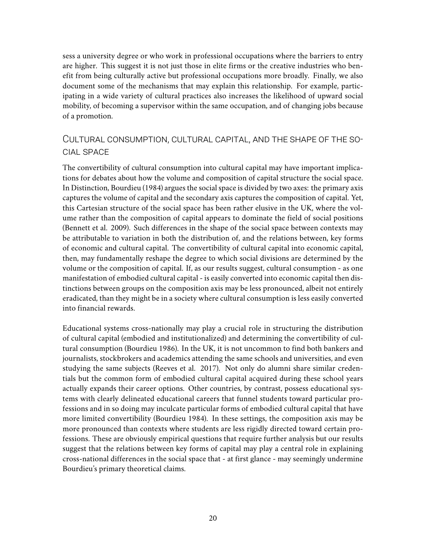sess a university degree or who work in professional occupations where the barriers to entry are higher. This suggest it is not just those in elite firms or the creative industries who benefit from being culturally active but professional occupations more broadly. Finally, we also document some of the mechanisms that may explain this relationship. For example, participating in a wide variety of cultural practices also increases the likelihood of upward social mobility, of becoming a supervisor within the same occupation, and of changing jobs because of a promotion.

### CULTURAL CONSUMPTION, CULTURAL CAPITAL, AND THE SHAPE OF THE SO-CIAL SPACE

The convertibility of cultural consumption into cultural capital may have important implications for debates about how the volume and composition of capital structure the social space. In Distinction, Bourdieu (1984) argues the social space is divided by two axes: the primary axis captures the volume of capital and the secondary axis captures the composition of capital. Yet, this Cartesian structure of the social space has been rather elusive in the UK, where the volume rather than the composition of capital appears to dominate the field of social positions (Bennett et al. 2009). Such differences in the shape of the social space between contexts may be attributable to variation in both the distribution of, and the relations between, key forms of economic and cultural capital. The convertibility of cultural capital into economic capital, then, may fundamentally reshape the degree to which social divisions are determined by the volume or the composition of capital. If, as our results suggest, cultural consumption - as one manifestation of embodied cultural capital - is easily converted into economic capital then distinctions between groups on the composition axis may be less pronounced, albeit not entirely eradicated, than they might be in a society where cultural consumption is less easily converted into financial rewards.

Educational systems cross-nationally may play a crucial role in structuring the distribution of cultural capital (embodied and institutionalized) and determining the convertibility of cultural consumption (Bourdieu 1986). In the UK, it is not uncommon to find both bankers and journalists, stockbrokers and academics attending the same schools and universities, and even studying the same subjects (Reeves et al. 2017). Not only do alumni share similar credentials but the common form of embodied cultural capital acquired during these school years actually expands their career options. Other countries, by contrast, possess educational systems with clearly delineated educational careers that funnel students toward particular professions and in so doing may inculcate particular forms of embodied cultural capital that have more limited convertibility (Bourdieu 1984). In these settings, the composition axis may be more pronounced than contexts where students are less rigidly directed toward certain professions. These are obviously empirical questions that require further analysis but our results suggest that the relations between key forms of capital may play a central role in explaining cross-national differences in the social space that - at first glance - may seemingly undermine Bourdieu's primary theoretical claims.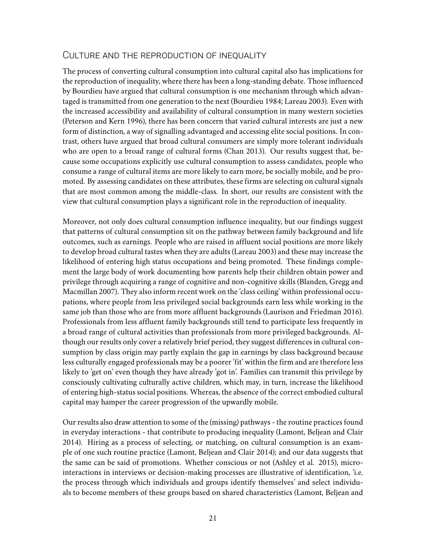#### CULTURE AND THE REPRODUCTION OF INEQUALITY

The process of converting cultural consumption into cultural capital also has implications for the reproduction of inequality, where there has been a long-standing debate. Those influenced by Bourdieu have argued that cultural consumption is one mechanism through which advantaged is transmitted from one generation to the next (Bourdieu 1984; Lareau 2003). Even with the increased accessibility and availability of cultural consumption in many western societies (Peterson and Kern 1996), there has been concern that varied cultural interests are just a new form of distinction, a way of signalling advantaged and accessing elite social positions. In contrast, others have argued that broad cultural consumers are simply more tolerant individuals who are open to a broad range of cultural forms (Chan 2013). Our results suggest that, because some occupations explicitly use cultural consumption to assess candidates, people who consume a range of cultural items are more likely to earn more, be socially mobile, and be promoted. By assessing candidates on these attributes, these firms are selecting on cultural signals that are most common among the middle-class. In short, our results are consistent with the view that cultural consumption plays a significant role in the reproduction of inequality.

Moreover, not only does cultural consumption influence inequality, but our findings suggest that patterns of cultural consumption sit on the pathway between family background and life outcomes, such as earnings. People who are raised in affluent social positions are more likely to develop broad cultural tastes when they are adults (Lareau 2003) and these may increase the likelihood of entering high status occupations and being promoted. These findings complement the large body of work documenting how parents help their children obtain power and privilege through acquiring a range of cognitive and non-cognitive skills (Blanden, Gregg and Macmillan 2007). They also inform recent work on the 'class ceiling' within professional occupations, where people from less privileged social backgrounds earn less while working in the same job than those who are from more affluent backgrounds (Laurison and Friedman 2016). Professionals from less affluent family backgrounds still tend to participate less frequently in a broad range of cultural activities than professionals from more privileged backgrounds. Although our results only cover a relatively brief period, they suggest differences in cultural consumption by class origin may partly explain the gap in earnings by class background because less culturally engaged professionals may be a poorer 'fit' within the firm and are therefore less likely to 'get on' even though they have already 'got in'. Families can transmit this privilege by consciously cultivating culturally active children, which may, in turn, increase the likelihood of entering high-status social positions. Whereas, the absence of the correct embodied cultural capital may hamper the career progression of the upwardly mobile.

Our results also draw attention to some of the (missing) pathways - the routine practices found in everyday interactions - that contribute to producing inequality (Lamont, Beljean and Clair 2014). Hiring as a process of selecting, or matching, on cultural consumption is an example of one such routine practice (Lamont, Beljean and Clair 2014); and our data suggests that the same can be said of promotions. Whether conscious or not (Ashley et al. 2015), microinteractions in interviews or decision-making processes are illustrative of identification, 'i.e. the process through which individuals and groups identify themselves' and select individuals to become members of these groups based on shared characteristics (Lamont, Beljean and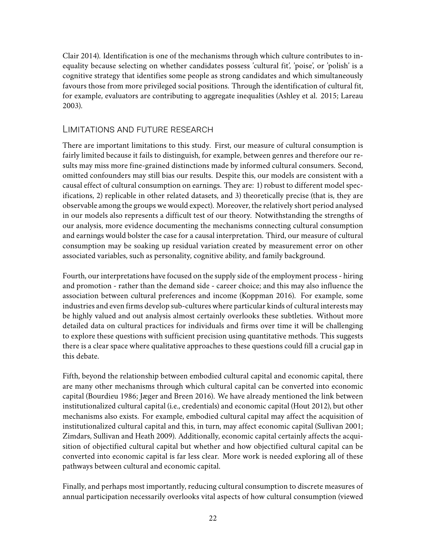Clair 2014). Identification is one of the mechanisms through which culture contributes to inequality because selecting on whether candidates possess 'cultural fit', 'poise', or 'polish' is a cognitive strategy that identifies some people as strong candidates and which simultaneously favours those from more privileged social positions. Through the identification of cultural fit, for example, evaluators are contributing to aggregate inequalities (Ashley et al. 2015; Lareau 2003).

#### LIMITATIONS AND FUTURE RESEARCH

There are important limitations to this study. First, our measure of cultural consumption is fairly limited because it fails to distinguish, for example, between genres and therefore our results may miss more fine-grained distinctions made by informed cultural consumers. Second, omitted confounders may still bias our results. Despite this, our models are consistent with a causal effect of cultural consumption on earnings. They are: 1) robust to different model specifications, 2) replicable in other related datasets, and 3) theoretically precise (that is, they are observable among the groups we would expect). Moreover, the relatively short period analysed in our models also represents a difficult test of our theory. Notwithstanding the strengths of our analysis, more evidence documenting the mechanisms connecting cultural consumption and earnings would bolster the case for a causal interpretation. Third, our measure of cultural consumption may be soaking up residual variation created by measurement error on other associated variables, such as personality, cognitive ability, and family background.

Fourth, our interpretations have focused on the supply side of the employment process - hiring and promotion - rather than the demand side - career choice; and this may also influence the association between cultural preferences and income (Koppman 2016). For example, some industries and even firms develop sub-cultures where particular kinds of cultural interests may be highly valued and out analysis almost certainly overlooks these subtleties. Without more detailed data on cultural practices for individuals and firms over time it will be challenging to explore these questions with sufficient precision using quantitative methods. This suggests there is a clear space where qualitative approaches to these questions could fill a crucial gap in this debate.

Fifth, beyond the relationship between embodied cultural capital and economic capital, there are many other mechanisms through which cultural capital can be converted into economic capital (Bourdieu 1986; Jæger and Breen 2016). We have already mentioned the link between institutionalized cultural capital (i.e., credentials) and economic capital (Hout 2012), but other mechanisms also exists. For example, embodied cultural capital may affect the acquisition of institutionalized cultural capital and this, in turn, may affect economic capital (Sullivan 2001; Zimdars, Sullivan and Heath 2009). Additionally, economic capital certainly affects the acquisition of objectified cultural capital but whether and how objectified cultural capital can be converted into economic capital is far less clear. More work is needed exploring all of these pathways between cultural and economic capital.

Finally, and perhaps most importantly, reducing cultural consumption to discrete measures of annual participation necessarily overlooks vital aspects of how cultural consumption (viewed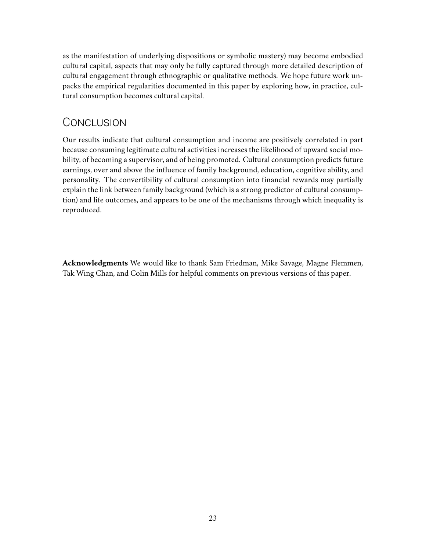as the manifestation of underlying dispositions or symbolic mastery) may become embodied cultural capital, aspects that may only be fully captured through more detailed description of cultural engagement through ethnographic or qualitative methods. We hope future work unpacks the empirical regularities documented in this paper by exploring how, in practice, cultural consumption becomes cultural capital.

# CONCLUSION

Our results indicate that cultural consumption and income are positively correlated in part because consuming legitimate cultural activities increases the likelihood of upward social mobility, of becoming a supervisor, and of being promoted. Cultural consumption predicts future earnings, over and above the influence of family background, education, cognitive ability, and personality. The convertibility of cultural consumption into financial rewards may partially explain the link between family background (which is a strong predictor of cultural consumption) and life outcomes, and appears to be one of the mechanisms through which inequality is reproduced.

**Acknowledgments** We would like to thank Sam Friedman, Mike Savage, Magne Flemmen, Tak Wing Chan, and Colin Mills for helpful comments on previous versions of this paper.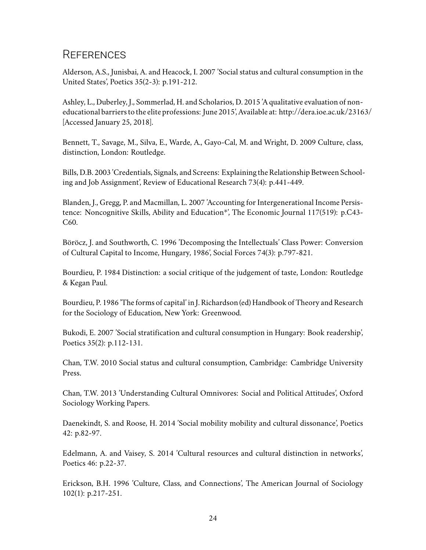# REFERENCES

Alderson, A.S., Junisbai, A. and Heacock, I. 2007 'Social status and cultural consumption in the United States', Poetics 35(2-3): p.191-212.

Ashley, L., Duberley, J., Sommerlad, H. and Scholarios, D. 2015 'A qualitative evaluation of noneducational barriers to the elite professions: June 2015', Available at: http://dera.ioe.ac.uk/23163/ [Accessed January 25, 2018].

Bennett, T., Savage, M., Silva, E., Warde, A., Gayo-Cal, M. and Wright, D. 2009 Culture, class, distinction, London: Routledge.

Bills, D.B. 2003 'Credentials, Signals, and Screens: Explaining the Relationship Between Schooling and Job Assignment', Review of Educational Research 73(4): p.441-449.

Blanden, J., Gregg, P. and Macmillan, L. 2007 'Accounting for Intergenerational Income Persistence: Noncognitive Skills, Ability and Education\*', The Economic Journal 117(519): p.C43- C60.

Böröcz, J. and Southworth, C. 1996 'Decomposing the Intellectuals' Class Power: Conversion of Cultural Capital to Income, Hungary, 1986', Social Forces 74(3): p.797-821.

Bourdieu, P. 1984 Distinction: a social critique of the judgement of taste, London: Routledge & Kegan Paul.

Bourdieu, P. 1986 'The forms of capital' in J. Richardson (ed) Handbook of Theory and Research for the Sociology of Education, New York: Greenwood.

Bukodi, E. 2007 'Social stratification and cultural consumption in Hungary: Book readership', Poetics 35(2): p.112-131.

Chan, T.W. 2010 Social status and cultural consumption, Cambridge: Cambridge University Press.

Chan, T.W. 2013 'Understanding Cultural Omnivores: Social and Political Attitudes', Oxford Sociology Working Papers.

Daenekindt, S. and Roose, H. 2014 'Social mobility mobility and cultural dissonance', Poetics 42: p.82-97.

Edelmann, A. and Vaisey, S. 2014 'Cultural resources and cultural distinction in networks', Poetics 46: p.22-37.

Erickson, B.H. 1996 'Culture, Class, and Connections', The American Journal of Sociology 102(1): p.217-251.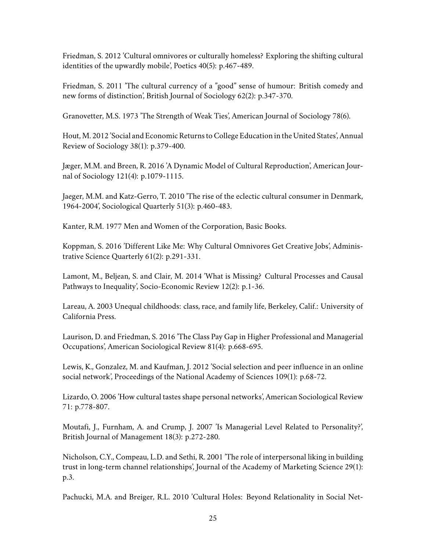Friedman, S. 2012 'Cultural omnivores or culturally homeless? Exploring the shifting cultural identities of the upwardly mobile', Poetics 40(5): p.467-489.

Friedman, S. 2011 'The cultural currency of a "good" sense of humour: British comedy and new forms of distinction', British Journal of Sociology 62(2): p.347-370.

Granovetter, M.S. 1973 'The Strength of Weak Ties', American Journal of Sociology 78(6).

Hout, M. 2012 'Social and Economic Returns to College Education in the United States', Annual Review of Sociology 38(1): p.379-400.

Jæger, M.M. and Breen, R. 2016 'A Dynamic Model of Cultural Reproduction', American Journal of Sociology 121(4): p.1079-1115.

Jaeger, M.M. and Katz-Gerro, T. 2010 'The rise of the eclectic cultural consumer in Denmark, 1964-2004', Sociological Quarterly 51(3): p.460-483.

Kanter, R.M. 1977 Men and Women of the Corporation, Basic Books.

Koppman, S. 2016 'Different Like Me: Why Cultural Omnivores Get Creative Jobs', Administrative Science Quarterly 61(2): p.291-331.

Lamont, M., Beljean, S. and Clair, M. 2014 'What is Missing? Cultural Processes and Causal Pathways to Inequality', Socio-Economic Review 12(2): p.1-36.

Lareau, A. 2003 Unequal childhoods: class, race, and family life, Berkeley, Calif.: University of California Press.

Laurison, D. and Friedman, S. 2016 'The Class Pay Gap in Higher Professional and Managerial Occupations', American Sociological Review 81(4): p.668-695.

Lewis, K., Gonzalez, M. and Kaufman, J. 2012 'Social selection and peer influence in an online social network', Proceedings of the National Academy of Sciences 109(1): p.68-72.

Lizardo, O. 2006 'How cultural tastes shape personal networks', American Sociological Review 71: p.778-807.

Moutafi, J., Furnham, A. and Crump, J. 2007 'Is Managerial Level Related to Personality?', British Journal of Management 18(3): p.272-280.

Nicholson, C.Y., Compeau, L.D. and Sethi, R. 2001 'The role of interpersonal liking in building trust in long-term channel relationships', Journal of the Academy of Marketing Science 29(1): p.3.

Pachucki, M.A. and Breiger, R.L. 2010 'Cultural Holes: Beyond Relationality in Social Net-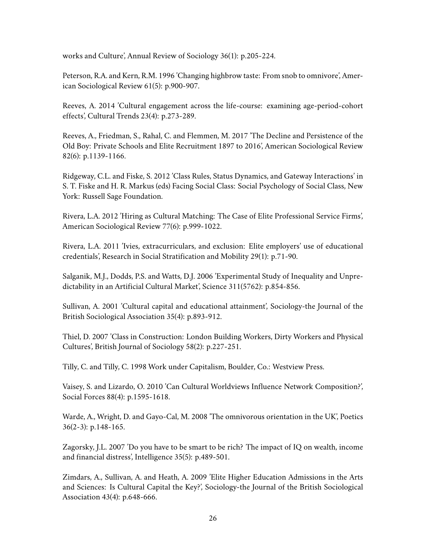works and Culture', Annual Review of Sociology 36(1): p.205-224.

Peterson, R.A. and Kern, R.M. 1996 'Changing highbrow taste: From snob to omnivore', American Sociological Review 61(5): p.900-907.

Reeves, A. 2014 'Cultural engagement across the life-course: examining age-period-cohort effects', Cultural Trends 23(4): p.273-289.

Reeves, A., Friedman, S., Rahal, C. and Flemmen, M. 2017 'The Decline and Persistence of the Old Boy: Private Schools and Elite Recruitment 1897 to 2016', American Sociological Review 82(6): p.1139-1166.

Ridgeway, C.L. and Fiske, S. 2012 'Class Rules, Status Dynamics, and Gateway Interactions' in S. T. Fiske and H. R. Markus (eds) Facing Social Class: Social Psychology of Social Class, New York: Russell Sage Foundation.

Rivera, L.A. 2012 'Hiring as Cultural Matching: The Case of Elite Professional Service Firms', American Sociological Review 77(6): p.999-1022.

Rivera, L.A. 2011 'Ivies, extracurriculars, and exclusion: Elite employers' use of educational credentials', Research in Social Stratification and Mobility 29(1): p.71-90.

Salganik, M.J., Dodds, P.S. and Watts, D.J. 2006 'Experimental Study of Inequality and Unpredictability in an Artificial Cultural Market', Science 311(5762): p.854-856.

Sullivan, A. 2001 'Cultural capital and educational attainment', Sociology-the Journal of the British Sociological Association 35(4): p.893-912.

Thiel, D. 2007 'Class in Construction: London Building Workers, Dirty Workers and Physical Cultures', British Journal of Sociology 58(2): p.227-251.

Tilly, C. and Tilly, C. 1998 Work under Capitalism, Boulder, Co.: Westview Press.

Vaisey, S. and Lizardo, O. 2010 'Can Cultural Worldviews Influence Network Composition?', Social Forces 88(4): p.1595-1618.

Warde, A., Wright, D. and Gayo-Cal, M. 2008 'The omnivorous orientation in the UK', Poetics 36(2-3): p.148-165.

Zagorsky, J.L. 2007 'Do you have to be smart to be rich? The impact of IQ on wealth, income and financial distress', Intelligence 35(5): p.489-501.

Zimdars, A., Sullivan, A. and Heath, A. 2009 'Elite Higher Education Admissions in the Arts and Sciences: Is Cultural Capital the Key?', Sociology-the Journal of the British Sociological Association 43(4): p.648-666.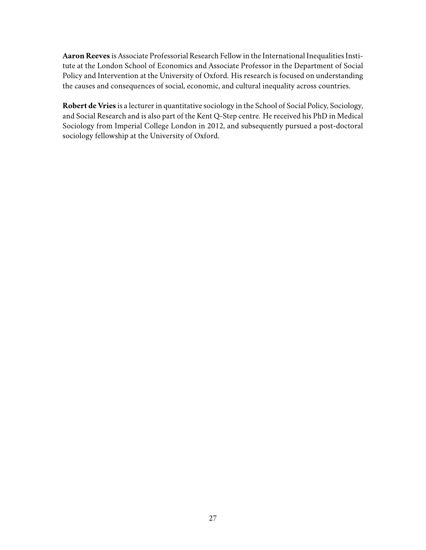**Aaron Reeves**is Associate Professorial Research Fellow in the International Inequalities Institute at the London School of Economics and Associate Professor in the Department of Social Policy and Intervention at the University of Oxford. His research is focused on understanding the causes and consequences of social, economic, and cultural inequality across countries.

**Robert de Vries**is a lecturer in quantitative sociology in the School of Social Policy, Sociology, and Social Research and is also part of the Kent Q-Step centre. He received his PhD in Medical Sociology from Imperial College London in 2012, and subsequently pursued a post-doctoral sociology fellowship at the University of Oxford.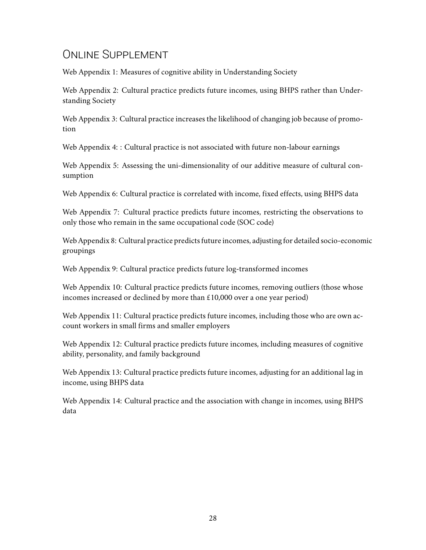# ONLINE SUPPLEMENT

Web Appendix 1: Measures of cognitive ability in Understanding Society

Web Appendix 2: Cultural practice predicts future incomes, using BHPS rather than Understanding Society

Web Appendix 3: Cultural practice increases the likelihood of changing job because of promotion

Web Appendix 4: : Cultural practice is not associated with future non-labour earnings

Web Appendix 5: Assessing the uni-dimensionality of our additive measure of cultural consumption

Web Appendix 6: Cultural practice is correlated with income, fixed effects, using BHPS data

Web Appendix 7: Cultural practice predicts future incomes, restricting the observations to only those who remain in the same occupational code (SOC code)

Web Appendix 8: Cultural practice predicts future incomes, adjusting for detailed socio-economic groupings

Web Appendix 9: Cultural practice predicts future log-transformed incomes

Web Appendix 10: Cultural practice predicts future incomes, removing outliers (those whose incomes increased or declined by more than £10,000 over a one year period)

Web Appendix 11: Cultural practice predicts future incomes, including those who are own account workers in small firms and smaller employers

Web Appendix 12: Cultural practice predicts future incomes, including measures of cognitive ability, personality, and family background

Web Appendix 13: Cultural practice predicts future incomes, adjusting for an additional lag in income, using BHPS data

Web Appendix 14: Cultural practice and the association with change in incomes, using BHPS data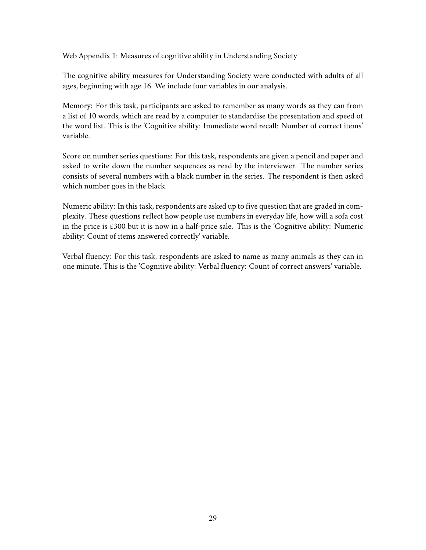Web Appendix 1: Measures of cognitive ability in Understanding Society

The cognitive ability measures for Understanding Society were conducted with adults of all ages, beginning with age 16. We include four variables in our analysis.

Memory: For this task, participants are asked to remember as many words as they can from a list of 10 words, which are read by a computer to standardise the presentation and speed of the word list. This is the 'Cognitive ability: Immediate word recall: Number of correct items' variable.

Score on number series questions: For this task, respondents are given a pencil and paper and asked to write down the number sequences as read by the interviewer. The number series consists of several numbers with a black number in the series. The respondent is then asked which number goes in the black.

Numeric ability: In this task, respondents are asked up to five question that are graded in complexity. These questions reflect how people use numbers in everyday life, how will a sofa cost in the price is £300 but it is now in a half-price sale. This is the 'Cognitive ability: Numeric ability: Count of items answered correctly' variable.

Verbal fluency: For this task, respondents are asked to name as many animals as they can in one minute. This is the 'Cognitive ability: Verbal fluency: Count of correct answers' variable.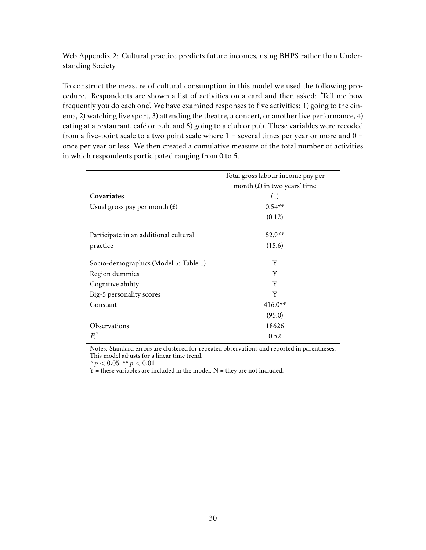Web Appendix 2: Cultural practice predicts future incomes, using BHPS rather than Understanding Society

To construct the measure of cultural consumption in this model we used the following procedure. Respondents are shown a list of activities on a card and then asked: 'Tell me how frequently you do each one'. We have examined responses to five activities: 1) going to the cinema, 2) watching live sport, 3) attending the theatre, a concert, or another live performance, 4) eating at a restaurant, café or pub, and 5) going to a club or pub. These variables were recoded from a five-point scale to a two point scale where  $1$  = several times per year or more and  $0 =$ once per year or less. We then created a cumulative measure of the total number of activities in which respondents participated ranging from 0 to 5.

|                                       | Total gross labour income pay per |
|---------------------------------------|-----------------------------------|
|                                       | month $(E)$ in two years' time    |
| <b>Covariates</b>                     | (1)                               |
| Usual gross pay per month $(E)$       | $0.54**$                          |
|                                       | (0.12)                            |
| Participate in an additional cultural | $52.9**$                          |
| practice                              | (15.6)                            |
| Socio-demographics (Model 5: Table 1) | Y                                 |
| Region dummies                        | Y                                 |
| Cognitive ability                     | Y                                 |
| Big-5 personality scores              | Y                                 |
| Constant                              | $416.0**$                         |
|                                       | (95.0)                            |
| Observations                          | 18626                             |
| $\,R^2$                               | 0.52                              |

Notes: Standard errors are clustered for repeated observations and reported in parentheses. This model adjusts for a linear time trend.

 $* p < 0.05, ** p < 0.01$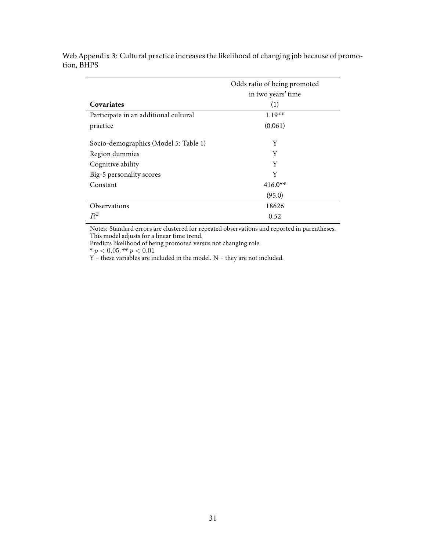|                                       | Odds ratio of being promoted |
|---------------------------------------|------------------------------|
|                                       | in two years' time           |
| <b>Covariates</b>                     | (1)                          |
| Participate in an additional cultural | $1.19**$                     |
| practice                              | (0.061)                      |
| Socio-demographics (Model 5: Table 1) | Y                            |
| Region dummies                        | Y                            |
| Cognitive ability                     | Y                            |
| Big-5 personality scores              | Y                            |
| Constant                              | $416.0**$                    |
|                                       | (95.0)                       |
| <b>Observations</b>                   | 18626                        |
| $R^2$                                 | 0.52                         |

Web Appendix 3: Cultural practice increases the likelihood of changing job because of promotion, BHPS

Notes: Standard errors are clustered for repeated observations and reported in parentheses. This model adjusts for a linear time trend.

Predicts likelihood of being promoted versus not changing role.

 $* p < 0.05, ** p < 0.01$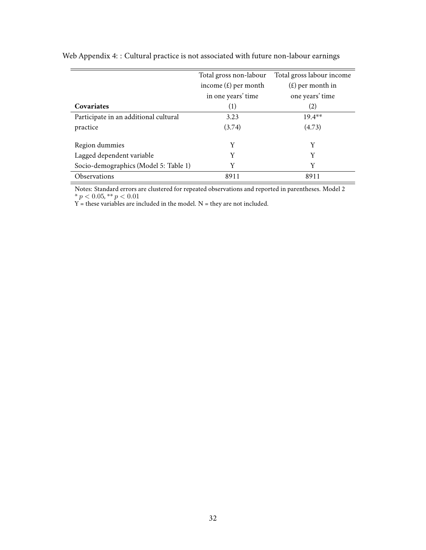|                                       | Total gross non-labour | Total gross labour income             |
|---------------------------------------|------------------------|---------------------------------------|
|                                       | income $(E)$ per month | $(\text{\textsterling})$ per month in |
|                                       | in one years' time     | one years' time                       |
| Covariates                            | (1)                    | (2)                                   |
| Participate in an additional cultural | 3.23                   | $19.4**$                              |
| practice                              | (3.74)                 | (4.73)                                |
| Region dummies                        | Y                      | Y                                     |
| Lagged dependent variable             | Y                      | Y                                     |
| Socio-demographics (Model 5: Table 1) | Y                      | Y                                     |
| <b>Observations</b>                   | 8911                   | 8911                                  |

Web Appendix 4: : Cultural practice is not associated with future non-labour earnings

Notes: Standard errors are clustered for repeated observations and reported in parentheses. Model 2  $* p < 0.05, ** p < 0.01$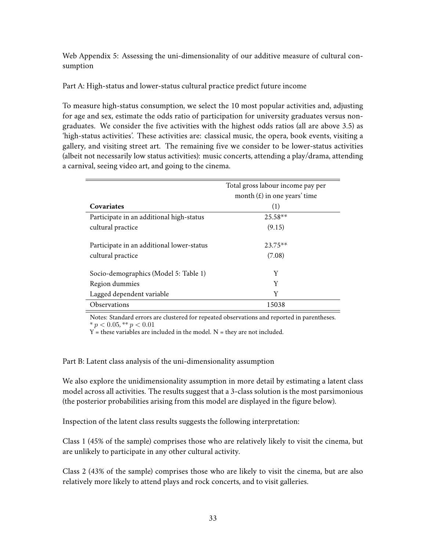Web Appendix 5: Assessing the uni-dimensionality of our additive measure of cultural consumption

Part A: High-status and lower-status cultural practice predict future income

To measure high-status consumption, we select the 10 most popular activities and, adjusting for age and sex, estimate the odds ratio of participation for university graduates versus nongraduates. We consider the five activities with the highest odds ratios (all are above 3.5) as 'high-status activities'. These activities are: classical music, the opera, book events, visiting a gallery, and visiting street art. The remaining five we consider to be lower-status activities (albeit not necessarily low status activities): music concerts, attending a play/drama, attending a carnival, seeing video art, and going to the cinema.

|                                           | Total gross labour income pay per |
|-------------------------------------------|-----------------------------------|
|                                           | month $(E)$ in one years' time    |
| <b>Covariates</b>                         | (1)                               |
| Participate in an additional high-status  | $25.58**$                         |
| cultural practice                         | (9.15)                            |
| Participate in an additional lower-status | $23.75**$                         |
| cultural practice                         | (7.08)                            |
| Socio-demographics (Model 5: Table 1)     | Y                                 |
| Region dummies                            | Y                                 |
| Lagged dependent variable                 | Y                                 |
| Observations                              | 15038                             |

Notes: Standard errors are clustered for repeated observations and reported in parentheses.  $* p < 0.05$ ,  $* p < 0.01$ 

 $\overline{Y}$  = these variables are included in the model. N = they are not included.

Part B: Latent class analysis of the uni-dimensionality assumption

We also explore the unidimensionality assumption in more detail by estimating a latent class model across all activities. The results suggest that a 3-class solution is the most parsimonious (the posterior probabilities arising from this model are displayed in the figure below).

Inspection of the latent class results suggests the following interpretation:

Class 1 (45% of the sample) comprises those who are relatively likely to visit the cinema, but are unlikely to participate in any other cultural activity.

Class 2 (43% of the sample) comprises those who are likely to visit the cinema, but are also relatively more likely to attend plays and rock concerts, and to visit galleries.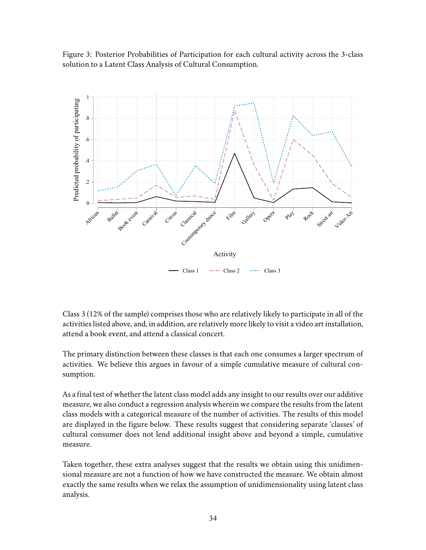Figure 3: Posterior Probabilities of Participation for each cultural activity across the 3-class solution to a Latent Class Analysis of Cultural Consumption.



Class 3 (12% of the sample) comprises those who are relatively likely to participate in all of the activities listed above, and, in addition, are relatively more likely to visit a video art installation, attend a book event, and attend a classical concert.

The primary distinction between these classes is that each one consumes a larger spectrum of activities. We believe this argues in favour of a simple cumulative measure of cultural consumption.

As a final test of whether the latent class model adds any insight to our results over our additive measure, we also conduct a regression analysis wherein we compare the results from the latent class models with a categorical measure of the number of activities. The results of this model are displayed in the figure below. These results suggest that considering separate 'classes' of cultural consumer does not lend additional insight above and beyond a simple, cumulative measure.

Taken together, these extra analyses suggest that the results we obtain using this unidimensional measure are not a function of how we have constructed the measure. We obtain almost exactly the same results when we relax the assumption of unidimensionality using latent class analysis.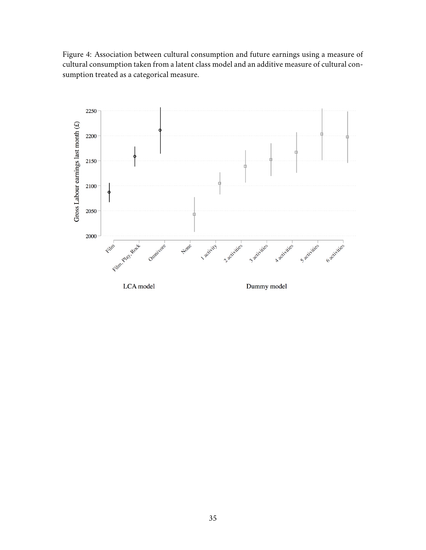Figure 4: Association between cultural consumption and future earnings using a measure of cultural consumption taken from a latent class model and an additive measure of cultural consumption treated as a categorical measure.

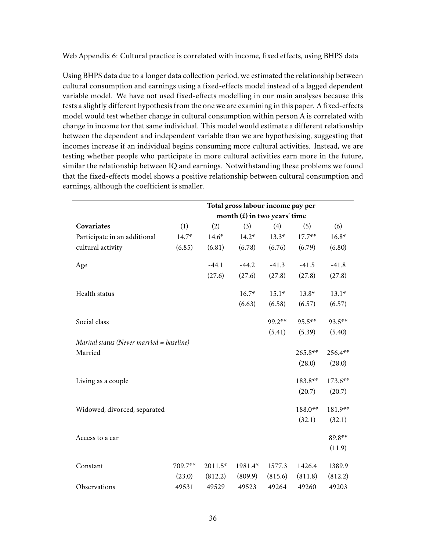Web Appendix 6: Cultural practice is correlated with income, fixed effects, using BHPS data

Using BHPS data due to a longer data collection period, we estimated the relationship between cultural consumption and earnings using a fixed-effects model instead of a lagged dependent variable model. We have not used fixed-effects modelling in our main analyses because this tests a slightly different hypothesis from the one we are examining in this paper. A fixed-effects model would test whether change in cultural consumption within person A is correlated with change in income for that same individual. This model would estimate a different relationship between the dependent and independent variable than we are hypothesising, suggesting that incomes increase if an individual begins consuming more cultural activities. Instead, we are testing whether people who participate in more cultural activities earn more in the future, similar the relationship between IQ and earnings. Notwithstanding these problems we found that the fixed-effects model shows a positive relationship between cultural consumption and earnings, although the coefficient is smaller.

|                                           | Total gross labour income pay per |         |         |         |           |           |
|-------------------------------------------|-----------------------------------|---------|---------|---------|-----------|-----------|
|                                           | month $(f)$ in two years' time    |         |         |         |           |           |
| Covariates                                | (1)                               | (2)     | (3)     | (4)     | (5)       | (6)       |
| Participate in an additional              | $14.7*$                           | $14.6*$ | $14.2*$ | $13.3*$ | $17.7**$  | $16.8*$   |
| cultural activity                         | (6.85)                            | (6.81)  | (6.78)  | (6.76)  | (6.79)    | (6.80)    |
| Age                                       |                                   | $-44.1$ | $-44.2$ | $-41.3$ | $-41.5$   | $-41.8$   |
|                                           |                                   | (27.6)  | (27.6)  | (27.8)  | (27.8)    | (27.8)    |
| Health status                             |                                   |         | $16.7*$ | $15.1*$ | $13.8*$   | $13.1*$   |
|                                           |                                   |         | (6.63)  | (6.58)  | (6.57)    | (6.57)    |
| Social class                              |                                   |         |         | 99.2**  | 95.5**    | 93.5**    |
|                                           |                                   |         |         | (5.41)  | (5.39)    | (5.40)    |
| Marital status (Never married = baseline) |                                   |         |         |         |           |           |
| Married                                   |                                   |         |         |         | $265.8**$ | 256.4**   |
|                                           |                                   |         |         |         | (28.0)    | (28.0)    |
| Living as a couple                        |                                   |         |         |         | 183.8**   | $173.6**$ |
|                                           |                                   |         |         |         | (20.7)    | (20.7)    |
| Widowed, divorced, separated              |                                   |         |         |         | 188.0**   | 181.9**   |
|                                           |                                   |         |         |         | (32.1)    | (32.1)    |
| Access to a car                           |                                   |         |         |         |           | 89.8**    |
|                                           |                                   |         |         |         |           | (11.9)    |
| Constant                                  | 709.7**                           | 2011.5* | 1981.4* | 1577.3  | 1426.4    | 1389.9    |
|                                           | (23.0)                            | (812.2) | (809.9) | (815.6) | (811.8)   | (812.2)   |
| Observations                              | 49531                             | 49529   | 49523   | 49264   | 49260     | 49203     |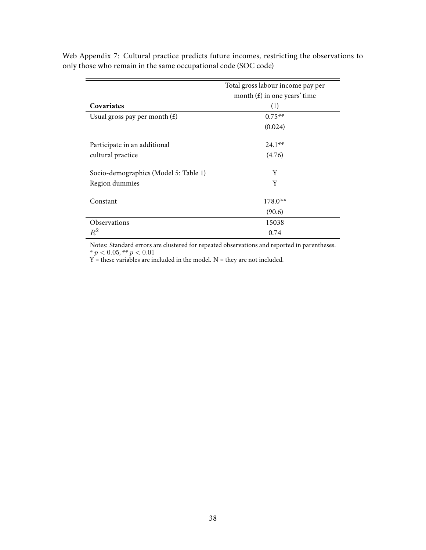|                                       | Total gross labour income pay per |
|---------------------------------------|-----------------------------------|
|                                       | month $(E)$ in one years' time    |
| <b>Covariates</b>                     | (1)                               |
| Usual gross pay per month $(E)$       | $0.75**$                          |
|                                       | (0.024)                           |
| Participate in an additional          | $24.1**$                          |
| cultural practice                     | (4.76)                            |
| Socio-demographics (Model 5: Table 1) | Y                                 |
| Region dummies                        | Y                                 |
| Constant                              | $178.0**$                         |
|                                       | (90.6)                            |
| <b>Observations</b>                   | 15038                             |
| $\,R^2$                               | 0.74                              |

Web Appendix 7: Cultural practice predicts future incomes, restricting the observations to only those who remain in the same occupational code (SOC code)

Notes: Standard errors are clustered for repeated observations and reported in parentheses.  $* p < 0.05, ** p < 0.01$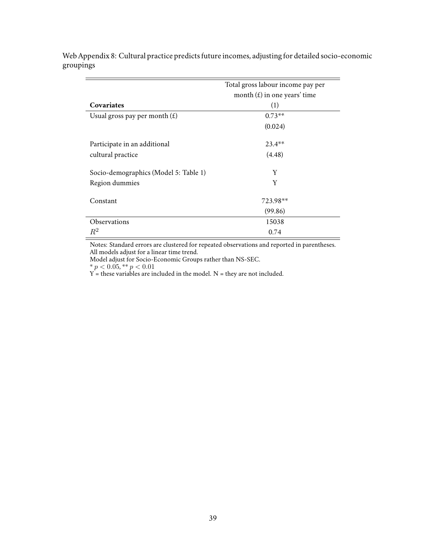|                                       | Total gross labour income pay per |
|---------------------------------------|-----------------------------------|
|                                       | month $(E)$ in one years' time    |
| Covariates                            | (1)                               |
| Usual gross pay per month $(E)$       | $0.73**$                          |
|                                       | (0.024)                           |
| Participate in an additional          | $23.4**$                          |
| cultural practice                     | (4.48)                            |
| Socio-demographics (Model 5: Table 1) | Y                                 |
| Region dummies                        | Y                                 |
| Constant                              | 723.98**                          |
|                                       | (99.86)                           |
| <b>Observations</b>                   | 15038                             |
| $R^2$                                 | 0.74                              |

Web Appendix 8: Cultural practice predicts future incomes, adjusting for detailed socio-economic groupings

Notes: Standard errors are clustered for repeated observations and reported in parentheses. All models adjust for a linear time trend.

Model adjust for Socio-Economic Groups rather than NS-SEC.

 $* p < 0.05, ** p < 0.01$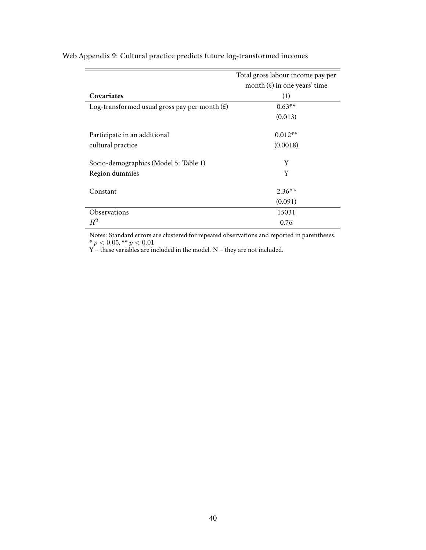|                                                 | Total gross labour income pay per |
|-------------------------------------------------|-----------------------------------|
|                                                 | month $(E)$ in one years' time    |
| Covariates                                      | (1)                               |
| Log-transformed usual gross pay per month $(E)$ | $0.63**$                          |
|                                                 | (0.013)                           |
| Participate in an additional                    | $0.012**$                         |
| cultural practice                               | (0.0018)                          |
| Socio-demographics (Model 5: Table 1)           | Y                                 |
| Region dummies                                  | Y                                 |
| Constant                                        | $2.36**$                          |
|                                                 | (0.091)                           |
| <b>Observations</b>                             | 15031                             |
| $R^2$                                           | 0.76                              |

### Web Appendix 9: Cultural practice predicts future log-transformed incomes

Notes: Standard errors are clustered for repeated observations and reported in parentheses.  $* p < 0.05, ** p < 0.01$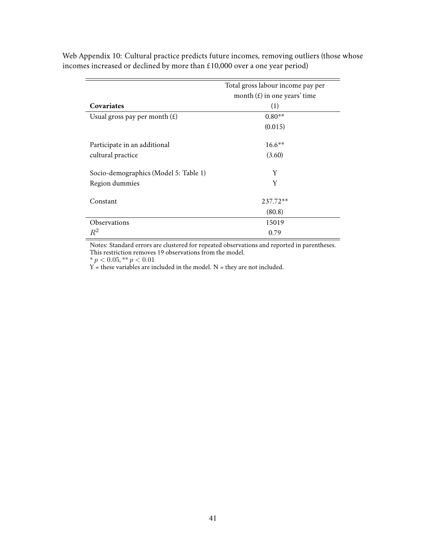|                                       | Total gross labour income pay per |
|---------------------------------------|-----------------------------------|
|                                       | month $(E)$ in one years' time    |
| Covariates                            | (1)                               |
| Usual gross pay per month $(E)$       | $0.80**$                          |
|                                       | (0.015)                           |
| Participate in an additional          | $16.6**$                          |
| cultural practice                     | (3.60)                            |
| Socio-demographics (Model 5: Table 1) | Y                                 |
| Region dummies                        | Y                                 |
| Constant                              | $237.72**$                        |
|                                       | (80.8)                            |
| <b>Observations</b>                   | 15019                             |
| $R^2$                                 | 0.79                              |

Web Appendix 10: Cultural practice predicts future incomes, removing outliers (those whose incomes increased or declined by more than £10,000 over a one year period)

Notes: Standard errors are clustered for repeated observations and reported in parentheses. This restriction removes 19 observations from the model.

 $* p < 0.05, ** p < 0.01$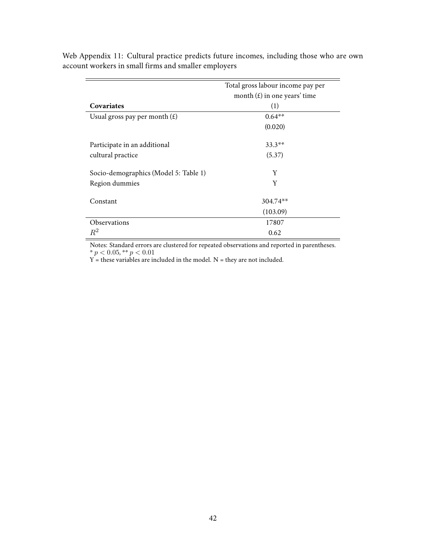|                                       | Total gross labour income pay per |
|---------------------------------------|-----------------------------------|
|                                       | month $(E)$ in one years' time    |
| <b>Covariates</b>                     | (1)                               |
| Usual gross pay per month $(E)$       | $0.64**$                          |
|                                       | (0.020)                           |
| Participate in an additional          | $33.3**$                          |
| cultural practice                     | (5.37)                            |
| Socio-demographics (Model 5: Table 1) | Y                                 |
| Region dummies                        | Y                                 |
| Constant                              | $304.74**$                        |
|                                       | (103.09)                          |
| <b>Observations</b>                   | 17807                             |
| $\,R^2$                               | 0.62                              |

Web Appendix 11: Cultural practice predicts future incomes, including those who are own account workers in small firms and smaller employers

Notes: Standard errors are clustered for repeated observations and reported in parentheses.  $* p < 0.05, ** p < 0.01$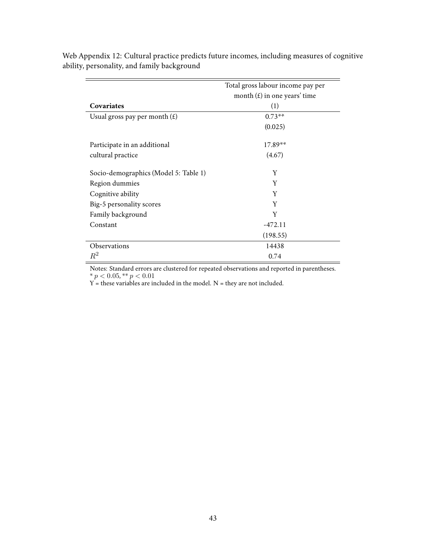|                                       | Total gross labour income pay per |
|---------------------------------------|-----------------------------------|
|                                       | month $(E)$ in one years' time    |
| Covariates                            | (1)                               |
| Usual gross pay per month $(E)$       | $0.73**$                          |
|                                       | (0.025)                           |
| Participate in an additional          | $17.89**$                         |
| cultural practice                     | (4.67)                            |
| Socio-demographics (Model 5: Table 1) | Y                                 |
| Region dummies                        | Y                                 |
| Cognitive ability                     | Y                                 |
| Big-5 personality scores              | Y                                 |
| Family background                     | Y                                 |
| Constant                              | $-472.11$                         |
|                                       | (198.55)                          |
| Observations                          | 14438                             |
| $R^2$                                 | 0.74                              |

Web Appendix 12: Cultural practice predicts future incomes, including measures of cognitive ability, personality, and family background

Notes: Standard errors are clustered for repeated observations and reported in parentheses.  $* p < 0.05, ** p < 0.01$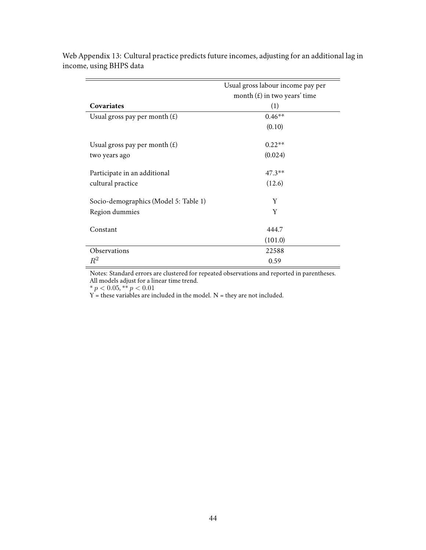|                                       | Usual gross labour income pay per |
|---------------------------------------|-----------------------------------|
|                                       | month $(E)$ in two years' time    |
| Covariates                            | (1)                               |
| Usual gross pay per month $(E)$       | $0.46**$                          |
|                                       | (0.10)                            |
| Usual gross pay per month $(E)$       | $0.22**$                          |
| two years ago                         | (0.024)                           |
| Participate in an additional          | $47.3**$                          |
| cultural practice                     | (12.6)                            |
| Socio-demographics (Model 5: Table 1) | Y                                 |
| Region dummies                        | Y                                 |
| Constant                              | 444.7                             |
|                                       | (101.0)                           |
| Observations                          | 22588                             |
| $\,R^2$                               | 0.59                              |

Web Appendix 13: Cultural practice predicts future incomes, adjusting for an additional lag in income, using BHPS data

Notes: Standard errors are clustered for repeated observations and reported in parentheses. All models adjust for a linear time trend.

 $* p < 0.05, ** p < 0.01$